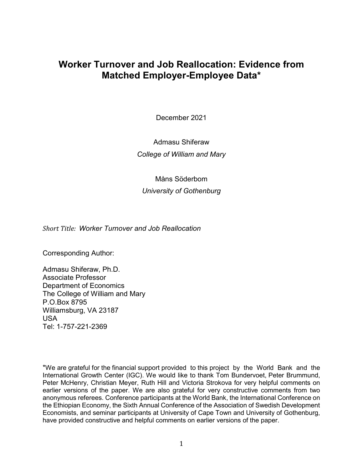# **Worker Turnover and Job Reallocation: Evidence from Matched Employer-Employee Data\***

December 2021

Admasu Shiferaw *College of William and Mary*

Måns Söderbom *University of Gothenburg*

*Short Title: Worker Turnover and Job Reallocation* 

Corresponding Author:

Admasu Shiferaw, Ph.D. Associate Professor Department of Economics The College of William and Mary P.O.Box 8795 Williamsburg, VA 23187 USA Tel: 1-757-221-2369

\*We are grateful for the financial support provided to this project by the World Bank and the International Growth Center (IGC). We would like to thank Tom Bundervoet, Peter Brummund, Peter McHenry, Christian Meyer, Ruth Hill and Victoria Strokova for very helpful comments on earlier versions of the paper. We are also grateful for very constructive comments from two anonymous referees. Conference participants at the World Bank, the International Conference on the Ethiopian Economy, the Sixth Annual Conference of the Association of Swedish Development Economists, and seminar participants at University of Cape Town and University of Gothenburg, have provided constructive and helpful comments on earlier versions of the paper.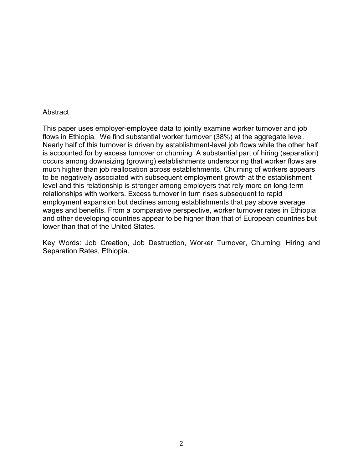### **Abstract**

This paper uses employer-employee data to jointly examine worker turnover and job flows in Ethiopia. We find substantial worker turnover (38%) at the aggregate level. Nearly half of this turnover is driven by establishment-level job flows while the other half is accounted for by excess turnover or churning. A substantial part of hiring (separation) occurs among downsizing (growing) establishments underscoring that worker flows are much higher than job reallocation across establishments. Churning of workers appears to be negatively associated with subsequent employment growth at the establishment level and this relationship is stronger among employers that rely more on long-term relationships with workers. Excess turnover in turn rises subsequent to rapid employment expansion but declines among establishments that pay above average wages and benefits. From a comparative perspective, worker turnover rates in Ethiopia and other developing countries appear to be higher than that of European countries but lower than that of the United States.

Key Words: Job Creation, Job Destruction, Worker Turnover, Churning, Hiring and Separation Rates, Ethiopia.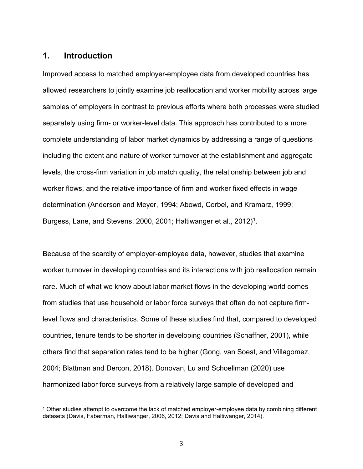# **1. Introduction**

Improved access to matched employer-employee data from developed countries has allowed researchers to jointly examine job reallocation and worker mobility across large samples of employers in contrast to previous efforts where both processes were studied separately using firm- or worker-level data. This approach has contributed to a more complete understanding of labor market dynamics by addressing a range of questions including the extent and nature of worker turnover at the establishment and aggregate levels, the cross-firm variation in job match quality, the relationship between job and worker flows, and the relative importance of firm and worker fixed effects in wage determination (Anderson and Meyer, 1994; Abowd, Corbel, and Kramarz, 1999; Burgess, Lane, and Stevens, 2000, 200[1](#page-2-0); Haltiwanger et al., 2012)<sup>1</sup>.

Because of the scarcity of employer-employee data, however, studies that examine worker turnover in developing countries and its interactions with job reallocation remain rare. Much of what we know about labor market flows in the developing world comes from studies that use household or labor force surveys that often do not capture firmlevel flows and characteristics. Some of these studies find that, compared to developed countries, tenure tends to be shorter in developing countries (Schaffner, 2001), while others find that separation rates tend to be higher (Gong, van Soest, and Villagomez, 2004; Blattman and Dercon, 2018). Donovan, Lu and Schoellman (2020) use harmonized labor force surveys from a relatively large sample of developed and

<span id="page-2-0"></span><sup>1</sup> Other studies attempt to overcome the lack of matched employer-employee data by combining different datasets (Davis, Faberman, Haltiwanger, 2006, 2012; Davis and Haltiwanger, 2014).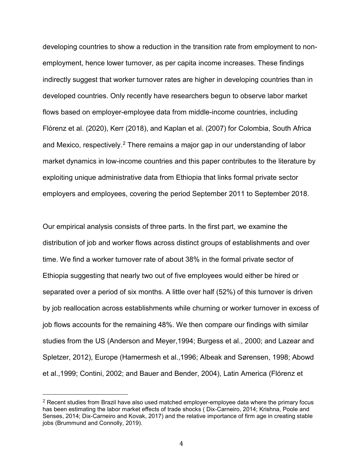developing countries to show a reduction in the transition rate from employment to nonemployment, hence lower turnover, as per capita income increases. These findings indirectly suggest that worker turnover rates are higher in developing countries than in developed countries. Only recently have researchers begun to observe labor market flows based on employer-employee data from middle-income countries, including Flórenz et al. (2020), Kerr (2018), and Kaplan et al. (2007) for Colombia, South Africa and Mexico, respectively.<sup>[2](#page-3-0)</sup> There remains a major gap in our understanding of labor market dynamics in low-income countries and this paper contributes to the literature by exploiting unique administrative data from Ethiopia that links formal private sector employers and employees, covering the period September 2011 to September 2018.

Our empirical analysis consists of three parts. In the first part, we examine the distribution of job and worker flows across distinct groups of establishments and over time. We find a worker turnover rate of about 38% in the formal private sector of Ethiopia suggesting that nearly two out of five employees would either be hired or separated over a period of six months. A little over half (52%) of this turnover is driven by job reallocation across establishments while churning or worker turnover in excess of job flows accounts for the remaining 48%. We then compare our findings with similar studies from the US (Anderson and Meyer,1994; Burgess et al., 2000; and Lazear and Spletzer, 2012), Europe (Hamermesh et al.,1996; Albeak and Sørensen, 1998; Abowd et al.,1999; Contini, 2002; and Bauer and Bender, 2004), Latin America (Flórenz et

<span id="page-3-0"></span> $2$  Recent studies from Brazil have also used matched employer-employee data where the primary focus has been estimating the labor market effects of trade shocks ( Dix-Carneiro, 2014; Krishna, Poole and Senses, 2014; Dix-Carneiro and Kovak, 2017) and the relative importance of firm age in creating stable jobs (Brummund and Connolly, 2019).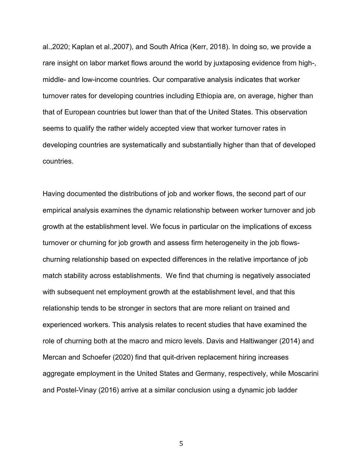al.,2020; Kaplan et al.,2007), and South Africa (Kerr, 2018). In doing so, we provide a rare insight on labor market flows around the world by juxtaposing evidence from high-, middle- and low-income countries. Our comparative analysis indicates that worker turnover rates for developing countries including Ethiopia are, on average, higher than that of European countries but lower than that of the United States. This observation seems to qualify the rather widely accepted view that worker turnover rates in developing countries are systematically and substantially higher than that of developed countries.

Having documented the distributions of job and worker flows, the second part of our empirical analysis examines the dynamic relationship between worker turnover and job growth at the establishment level. We focus in particular on the implications of excess turnover or churning for job growth and assess firm heterogeneity in the job flowschurning relationship based on expected differences in the relative importance of job match stability across establishments. We find that churning is negatively associated with subsequent net employment growth at the establishment level, and that this relationship tends to be stronger in sectors that are more reliant on trained and experienced workers. This analysis relates to recent studies that have examined the role of churning both at the macro and micro levels. Davis and Haltiwanger (2014) and Mercan and Schoefer (2020) find that quit-driven replacement hiring increases aggregate employment in the United States and Germany, respectively, while Moscarini and Postel-Vinay (2016) arrive at a similar conclusion using a dynamic job ladder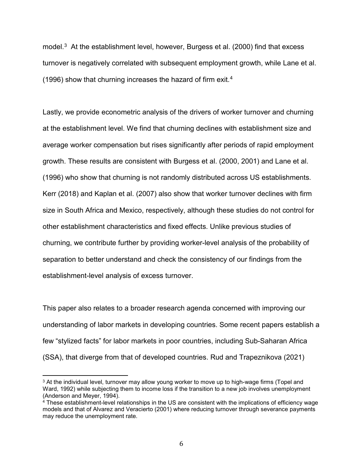model.<sup>3</sup> At the establishment level, however, Burgess et al. (2000) find that excess turnover is negatively correlated with subsequent employment growth, while Lane et al. (1996) show that churning increases the hazard of firm exit.<sup>[4](#page-5-1)</sup>

Lastly, we provide econometric analysis of the drivers of worker turnover and churning at the establishment level. We find that churning declines with establishment size and average worker compensation but rises significantly after periods of rapid employment growth. These results are consistent with Burgess et al. (2000, 2001) and Lane et al. (1996) who show that churning is not randomly distributed across US establishments. Kerr (2018) and Kaplan et al. (2007) also show that worker turnover declines with firm size in South Africa and Mexico, respectively, although these studies do not control for other establishment characteristics and fixed effects. Unlike previous studies of churning, we contribute further by providing worker-level analysis of the probability of separation to better understand and check the consistency of our findings from the establishment-level analysis of excess turnover.

This paper also relates to a broader research agenda concerned with improving our understanding of labor markets in developing countries. Some recent papers establish a few "stylized facts" for labor markets in poor countries, including Sub-Saharan Africa (SSA), that diverge from that of developed countries. Rud and Trapeznikova (2021)

<span id="page-5-0"></span><sup>&</sup>lt;sup>3</sup> At the individual level, turnover may allow young worker to move up to high-wage firms (Topel and Ward, 1992) while subjecting them to income loss if the transition to a new job involves unemployment (Anderson and Meyer, 1994).

<span id="page-5-1"></span><sup>&</sup>lt;sup>4</sup> These establishment-level relationships in the US are consistent with the implications of efficiency wage models and that of Alvarez and Veracierto (2001) where reducing turnover through severance payments may reduce the unemployment rate.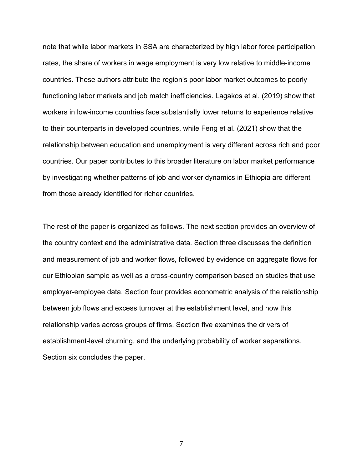note that while labor markets in SSA are characterized by high labor force participation rates, the share of workers in wage employment is very low relative to middle-income countries. These authors attribute the region's poor labor market outcomes to poorly functioning labor markets and job match inefficiencies. Lagakos et al. (2019) show that workers in low-income countries face substantially lower returns to experience relative to their counterparts in developed countries, while Feng et al. (2021) show that the relationship between education and unemployment is very different across rich and poor countries. Our paper contributes to this broader literature on labor market performance by investigating whether patterns of job and worker dynamics in Ethiopia are different from those already identified for richer countries.

The rest of the paper is organized as follows. The next section provides an overview of the country context and the administrative data. Section three discusses the definition and measurement of job and worker flows, followed by evidence on aggregate flows for our Ethiopian sample as well as a cross-country comparison based on studies that use employer-employee data. Section four provides econometric analysis of the relationship between job flows and excess turnover at the establishment level, and how this relationship varies across groups of firms. Section five examines the drivers of establishment-level churning, and the underlying probability of worker separations. Section six concludes the paper.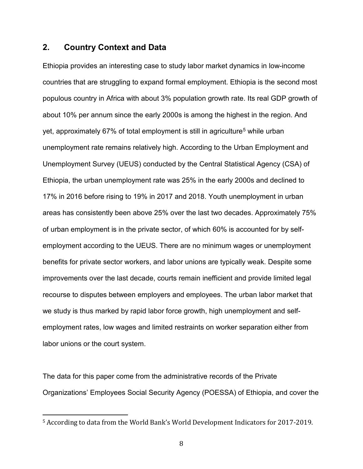# **2. Country Context and Data**

Ethiopia provides an interesting case to study labor market dynamics in low-income countries that are struggling to expand formal employment. Ethiopia is the second most populous country in Africa with about 3% population growth rate. Its real GDP growth of about 10% per annum since the early 2000s is among the highest in the region. And yet, approximately 67% of total employment is still in agriculture<sup>[5](#page-7-0)</sup> while urban unemployment rate remains relatively high. According to the Urban Employment and Unemployment Survey (UEUS) conducted by the Central Statistical Agency (CSA) of Ethiopia, the urban unemployment rate was 25% in the early 2000s and declined to 17% in 2016 before rising to 19% in 2017 and 2018. Youth unemployment in urban areas has consistently been above 25% over the last two decades. Approximately 75% of urban employment is in the private sector, of which 60% is accounted for by selfemployment according to the UEUS. There are no minimum wages or unemployment benefits for private sector workers, and labor unions are typically weak. Despite some improvements over the last decade, courts remain inefficient and provide limited legal recourse to disputes between employers and employees. The urban labor market that we study is thus marked by rapid labor force growth, high unemployment and selfemployment rates, low wages and limited restraints on worker separation either from labor unions or the court system.

The data for this paper come from the administrative records of the Private Organizations' Employees Social Security Agency (POESSA) of Ethiopia, and cover the

<span id="page-7-0"></span> <sup>5</sup> According to data from the World Bank's World Development Indicators for 2017-2019.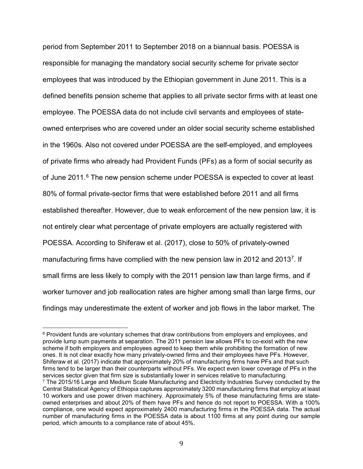period from September 2011 to September 2018 on a biannual basis. POESSA is responsible for managing the mandatory social security scheme for private sector employees that was introduced by the Ethiopian government in June 2011. This is a defined benefits pension scheme that applies to all private sector firms with at least one employee. The POESSA data do not include civil servants and employees of stateowned enterprises who are covered under an older social security scheme established in the 1960s. Also not covered under POESSA are the self-employed, and employees of private firms who already had Provident Funds (PFs) as a form of social security as of June 2011.<sup>[6](#page-8-0)</sup> The new pension scheme under POESSA is expected to cover at least 80% of formal private-sector firms that were established before 2011 and all firms established thereafter. However, due to weak enforcement of the new pension law, it is not entirely clear what percentage of private employers are actually registered with POESSA. According to Shiferaw et al. (2017), close to 50% of privately-owned manufacturing firms have complied with the new pension law in 2012 and 2013<sup>7</sup>. If small firms are less likely to comply with the 2011 pension law than large firms, and if worker turnover and job reallocation rates are higher among small than large firms, our findings may underestimate the extent of worker and job flows in the labor market. The

<span id="page-8-0"></span> $6$  Provident funds are voluntary schemes that draw contributions from employers and employees, and provide lump sum payments at separation. The 2011 pension law allows PFs to co-exist with the new scheme if both employers and employees agreed to keep them while prohibiting the formation of new ones. It is not clear exactly how many privately-owned firms and their employees have PFs. However, Shiferaw et al. (2017) indicate that approximately 20% of manufacturing firms have PFs and that such firms tend to be larger than their counterparts without PFs. We expect even lower coverage of PFs in the services sector given that firm size is substantially lower in services relative to manufacturing.

<span id="page-8-1"></span><sup>7</sup> The 2015/16 Large and Medium Scale Manufacturing and Electricity Industries Survey conducted by the Central Statistical Agency of Ethiopia captures approximately 3200 manufacturing firms that employ at least 10 workers and use power driven machinery. Approximately 5% of these manufacturing firms are stateowned enterprises and about 20% of them have PFs and hence do not report to POESSA. With a 100% compliance, one would expect approximately 2400 manufacturing firms in the POESSA data. The actual number of manufacturing firms in the POESSA data is about 1100 firms at any point during our sample period, which amounts to a compliance rate of about 45%.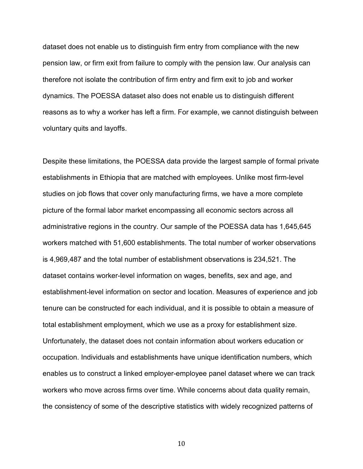dataset does not enable us to distinguish firm entry from compliance with the new pension law, or firm exit from failure to comply with the pension law. Our analysis can therefore not isolate the contribution of firm entry and firm exit to job and worker dynamics. The POESSA dataset also does not enable us to distinguish different reasons as to why a worker has left a firm. For example, we cannot distinguish between voluntary quits and layoffs.

Despite these limitations, the POESSA data provide the largest sample of formal private establishments in Ethiopia that are matched with employees. Unlike most firm-level studies on job flows that cover only manufacturing firms, we have a more complete picture of the formal labor market encompassing all economic sectors across all administrative regions in the country. Our sample of the POESSA data has 1,645,645 workers matched with 51,600 establishments. The total number of worker observations is 4,969,487 and the total number of establishment observations is 234,521. The dataset contains worker-level information on wages, benefits, sex and age, and establishment-level information on sector and location. Measures of experience and job tenure can be constructed for each individual, and it is possible to obtain a measure of total establishment employment, which we use as a proxy for establishment size. Unfortunately, the dataset does not contain information about workers education or occupation. Individuals and establishments have unique identification numbers, which enables us to construct a linked employer-employee panel dataset where we can track workers who move across firms over time. While concerns about data quality remain, the consistency of some of the descriptive statistics with widely recognized patterns of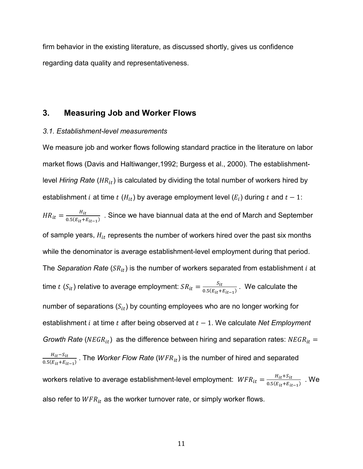firm behavior in the existing literature, as discussed shortly, gives us confidence regarding data quality and representativeness.

# **3. Measuring Job and Worker Flows**

### *3.1. Establishment-level measurements*

We measure job and worker flows following standard practice in the literature on labor market flows (Davis and Haltiwanger,1992; Burgess et al., 2000). The establishmentlevel *Hiring Rate* ( $HR_{it}$ ) is calculated by dividing the total number of workers hired by establishment *i* at time  $t$  ( $H_{it}$ ) by average employment level ( $E_i$ ) during  $t$  and  $t - 1$ :  $HR_{it} = \frac{H_{it}}{0.5(E_{it} + E_{it-1})}$  . Since we have biannual data at the end of March and September of sample years,  $H_{it}$  represents the number of workers hired over the past six months while the denominator is average establishment-level employment during that period. The *Separation Rate* ( $SR_{it}$ ) is the number of workers separated from establishment *i* at time  $t(S_{it})$  relative to average employment:  $SR_{it} = \frac{S_{it}}{0.5(E_{it} + E_{it-1})}$  . We calculate the number of separations  $(S_{it})$  by counting employees who are no longer working for establishment *i* at time *t* after being observed at  $t - 1$ . We calculate *Net Employment Growth Rate* ( $NEGR_{it}$ ) as the difference between hiring and separation rates:  $NEGR_{it}$  =  $\frac{H_{it}-S_{it}}{0.5(E_{it}+E_{it-1})}$  . The *Worker Flow Rate (WFR*<sub>it</sub>) is the number of hired and separated workers relative to average establishment-level employment:  $\mathit{WFR}_{it} = \frac{H_{it} + S_{it}}{0.5(E_{it} + E_{it-1})}$  . We also refer to  $WFR_{it}$  as the worker turnover rate, or simply worker flows.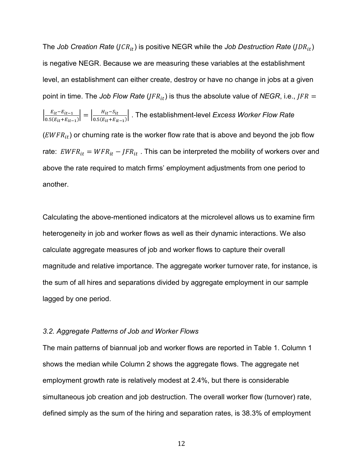The *Job Creation Rate* (*JCR*<sub>it</sub>) is positive NEGR while the *Job Destruction Rate* (*JDR*<sub>it</sub>) is negative NEGR. Because we are measuring these variables at the establishment level, an establishment can either create, destroy or have no change in jobs at a given point in time. The *Job Flow Rate*  $(JFR_{it})$  is thus the absolute value of *NEGR*, i.e.,  $JFR =$  $\left|\frac{E_{it}-E_{it-1}}{0.5(E_{it}+E_{it-1})}\right|=\left|\frac{H_{it}-S_{it}}{0.5(E_{it}+E_{it-1})}\right|$ . The establishment-level *Excess Worker Flow Rate*  $(EWFR<sub>it</sub>)$  or churning rate is the worker flow rate that is above and beyond the job flow rate:  $\textit{EWFR}_{it} = \textit{WFR}_{it} - \textit{JFR}_{it}$ . This can be interpreted the mobility of workers over and above the rate required to match firms' employment adjustments from one period to another.

Calculating the above-mentioned indicators at the microlevel allows us to examine firm heterogeneity in job and worker flows as well as their dynamic interactions. We also calculate aggregate measures of job and worker flows to capture their overall magnitude and relative importance. The aggregate worker turnover rate, for instance, is the sum of all hires and separations divided by aggregate employment in our sample lagged by one period.

#### *3.2. Aggregate Patterns of Job and Worker Flows*

The main patterns of biannual job and worker flows are reported in Table 1. Column 1 shows the median while Column 2 shows the aggregate flows. The aggregate net employment growth rate is relatively modest at 2.4%, but there is considerable simultaneous job creation and job destruction. The overall worker flow (turnover) rate, defined simply as the sum of the hiring and separation rates, is 38.3% of employment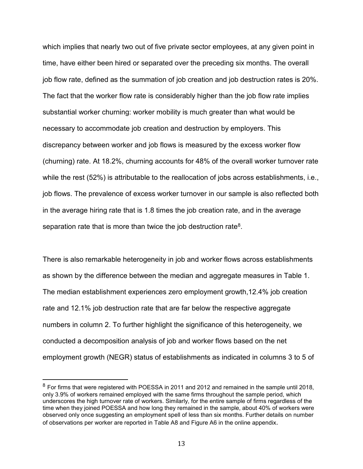which implies that nearly two out of five private sector employees, at any given point in time, have either been hired or separated over the preceding six months. The overall job flow rate, defined as the summation of job creation and job destruction rates is 20%. The fact that the worker flow rate is considerably higher than the job flow rate implies substantial worker churning: worker mobility is much greater than what would be necessary to accommodate job creation and destruction by employers. This discrepancy between worker and job flows is measured by the excess worker flow (churning) rate. At 18.2%, churning accounts for 48% of the overall worker turnover rate while the rest (52%) is attributable to the reallocation of jobs across establishments, i.e., job flows. The prevalence of excess worker turnover in our sample is also reflected both in the average hiring rate that is 1.8 times the job creation rate, and in the average separation rate that is more than twice the job destruction rate<sup>8</sup>.

There is also remarkable heterogeneity in job and worker flows across establishments as shown by the difference between the median and aggregate measures in Table 1. The median establishment experiences zero employment growth,12.4% job creation rate and 12.1% job destruction rate that are far below the respective aggregate numbers in column 2. To further highlight the significance of this heterogeneity, we conducted a decomposition analysis of job and worker flows based on the net employment growth (NEGR) status of establishments as indicated in columns 3 to 5 of

<span id="page-12-0"></span> $8$  For firms that were registered with POESSA in 2011 and 2012 and remained in the sample until 2018, only 3.9% of workers remained employed with the same firms throughout the sample period, which underscores the high turnover rate of workers. Similarly, for the entire sample of firms regardless of the time when they joined POESSA and how long they remained in the sample, about 40% of workers were observed only once suggesting an employment spell of less than six months. Further details on number of observations per worker are reported in Table A8 and Figure A6 in the online appendix.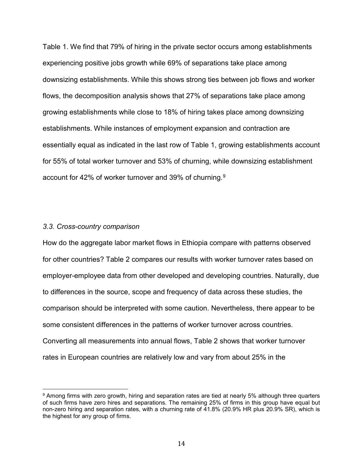Table 1. We find that 79% of hiring in the private sector occurs among establishments experiencing positive jobs growth while 69% of separations take place among downsizing establishments. While this shows strong ties between job flows and worker flows, the decomposition analysis shows that 27% of separations take place among growing establishments while close to 18% of hiring takes place among downsizing establishments. While instances of employment expansion and contraction are essentially equal as indicated in the last row of Table 1, growing establishments account for 55% of total worker turnover and 53% of churning, while downsizing establishment account for 42% of worker turnover and 39% of churning.<sup>9</sup>

### *3.3. Cross-country comparison*

How do the aggregate labor market flows in Ethiopia compare with patterns observed for other countries? Table 2 compares our results with worker turnover rates based on employer-employee data from other developed and developing countries. Naturally, due to differences in the source, scope and frequency of data across these studies, the comparison should be interpreted with some caution. Nevertheless, there appear to be some consistent differences in the patterns of worker turnover across countries. Converting all measurements into annual flows, Table 2 shows that worker turnover rates in European countries are relatively low and vary from about 25% in the

<span id="page-13-0"></span><sup>9</sup> Among firms with zero growth, hiring and separation rates are tied at nearly 5% although three quarters of such firms have zero hires and separations. The remaining 25% of firms in this group have equal but non-zero hiring and separation rates, with a churning rate of 41.8% (20.9% HR plus 20.9% SR), which is the highest for any group of firms.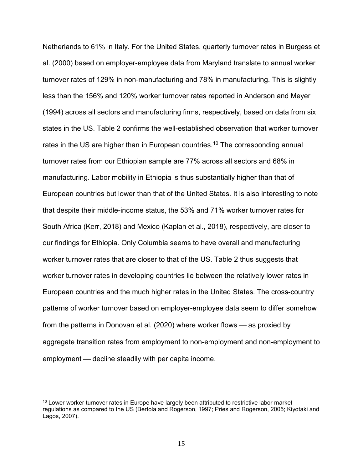Netherlands to 61% in Italy. For the United States, quarterly turnover rates in Burgess et al. (2000) based on employer-employee data from Maryland translate to annual worker turnover rates of 129% in non-manufacturing and 78% in manufacturing. This is slightly less than the 156% and 120% worker turnover rates reported in Anderson and Meyer (1994) across all sectors and manufacturing firms, respectively, based on data from six states in the US. Table 2 confirms the well-established observation that worker turnover rates in the US are higher than in European countries. [10](#page-14-0) The corresponding annual turnover rates from our Ethiopian sample are 77% across all sectors and 68% in manufacturing. Labor mobility in Ethiopia is thus substantially higher than that of European countries but lower than that of the United States. It is also interesting to note that despite their middle-income status, the 53% and 71% worker turnover rates for South Africa (Kerr, 2018) and Mexico (Kaplan et al., 2018), respectively, are closer to our findings for Ethiopia. Only Columbia seems to have overall and manufacturing worker turnover rates that are closer to that of the US. Table 2 thus suggests that worker turnover rates in developing countries lie between the relatively lower rates in European countries and the much higher rates in the United States. The cross-country patterns of worker turnover based on employer-employee data seem to differ somehow from the patterns in Donovan et al. (2020) where worker flows  $-$  as proxied by aggregate transition rates from employment to non-employment and non-employment to employment — decline steadily with per capita income.

<span id="page-14-0"></span><sup>&</sup>lt;sup>10</sup> Lower worker turnover rates in Europe have largely been attributed to restrictive labor market regulations as compared to the US (Bertola and Rogerson, 1997; Pries and Rogerson, 2005; Kiyotaki and Lagos, 2007).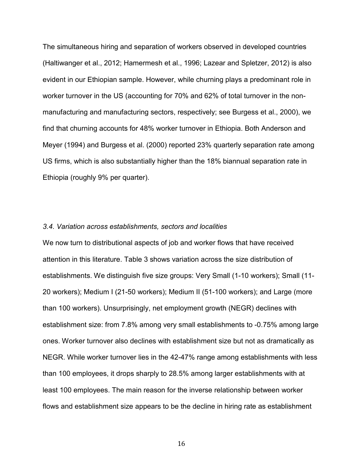The simultaneous hiring and separation of workers observed in developed countries (Haltiwanger et al., 2012; Hamermesh et al., 1996; Lazear and Spletzer, 2012) is also evident in our Ethiopian sample. However, while churning plays a predominant role in worker turnover in the US (accounting for 70% and 62% of total turnover in the nonmanufacturing and manufacturing sectors, respectively; see Burgess et al., 2000), we find that churning accounts for 48% worker turnover in Ethiopia. Both Anderson and Meyer (1994) and Burgess et al. (2000) reported 23% quarterly separation rate among US firms, which is also substantially higher than the 18% biannual separation rate in Ethiopia (roughly 9% per quarter).

#### *3.4. Variation across establishments, sectors and localities*

We now turn to distributional aspects of job and worker flows that have received attention in this literature. Table 3 shows variation across the size distribution of establishments. We distinguish five size groups: Very Small (1-10 workers); Small (11- 20 workers); Medium I (21-50 workers); Medium II (51-100 workers); and Large (more than 100 workers). Unsurprisingly, net employment growth (NEGR) declines with establishment size: from 7.8% among very small establishments to -0.75% among large ones. Worker turnover also declines with establishment size but not as dramatically as NEGR. While worker turnover lies in the 42-47% range among establishments with less than 100 employees, it drops sharply to 28.5% among larger establishments with at least 100 employees. The main reason for the inverse relationship between worker flows and establishment size appears to be the decline in hiring rate as establishment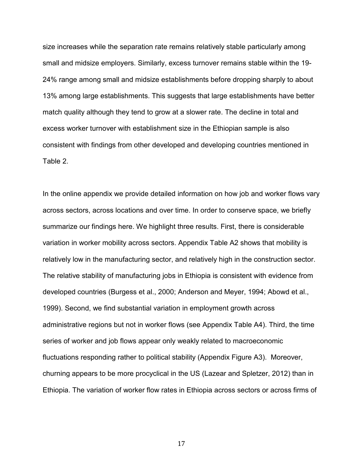size increases while the separation rate remains relatively stable particularly among small and midsize employers. Similarly, excess turnover remains stable within the 19- 24% range among small and midsize establishments before dropping sharply to about 13% among large establishments. This suggests that large establishments have better match quality although they tend to grow at a slower rate. The decline in total and excess worker turnover with establishment size in the Ethiopian sample is also consistent with findings from other developed and developing countries mentioned in Table 2.

In the online appendix we provide detailed information on how job and worker flows vary across sectors, across locations and over time. In order to conserve space, we briefly summarize our findings here. We highlight three results. First, there is considerable variation in worker mobility across sectors. Appendix Table A2 shows that mobility is relatively low in the manufacturing sector, and relatively high in the construction sector. The relative stability of manufacturing jobs in Ethiopia is consistent with evidence from developed countries (Burgess et al., 2000; Anderson and Meyer, 1994; Abowd et al., 1999). Second, we find substantial variation in employment growth across administrative regions but not in worker flows (see Appendix Table A4). Third, the time series of worker and job flows appear only weakly related to macroeconomic fluctuations responding rather to political stability (Appendix Figure A3). Moreover, churning appears to be more procyclical in the US (Lazear and Spletzer, 2012) than in Ethiopia. The variation of worker flow rates in Ethiopia across sectors or across firms of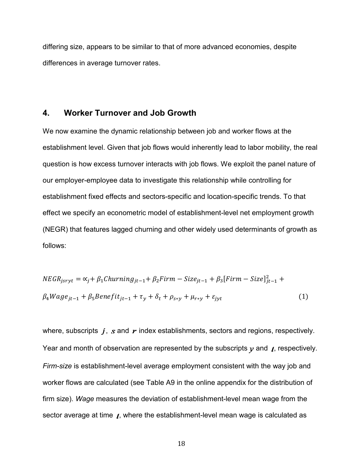differing size, appears to be similar to that of more advanced economies, despite differences in average turnover rates.

# **4. Worker Turnover and Job Growth**

We now examine the dynamic relationship between job and worker flows at the establishment level. Given that job flows would inherently lead to labor mobility, the real question is how excess turnover interacts with job flows. We exploit the panel nature of our employer-employee data to investigate this relationship while controlling for establishment fixed effects and sectors-specific and location-specific trends. To that effect we specify an econometric model of establishment-level net employment growth (NEGR) that features lagged churning and other widely used determinants of growth as follows:

$$
NEGR_{jsryt} = \alpha_j + \beta_1 Churning_{jt-1} + \beta_2 Firm - Size_{jt-1} + \beta_3 [Firm - Size]_{jt-1}^2 +
$$
  
\n
$$
\beta_4 Wage_{jt-1} + \beta_5 Benefit_{jt-1} + \tau_y + \delta_t + \rho_{s*y} + \mu_{r*y} + \varepsilon_{jyt}
$$
\n(1)

where, subscripts  $j, s$  and  $r$  index establishments, sectors and regions, respectively. Year and month of observation are represented by the subscripts  $y$  and  $f$ , respectively. *Firm-size* is establishment-level average employment consistent with the way job and worker flows are calculated (see Table A9 in the online appendix for the distribution of firm size). *Wage* measures the deviation of establishment-level mean wage from the sector average at time  $\chi$ , where the establishment-level mean wage is calculated as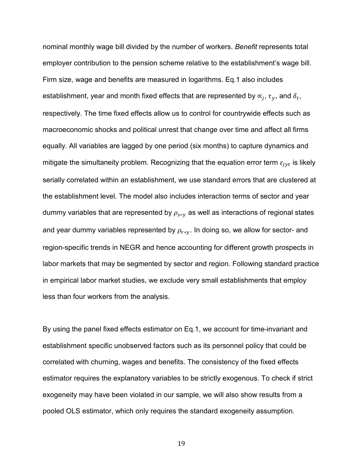nominal monthly wage bill divided by the number of workers. *Benefit* represents total employer contribution to the pension scheme relative to the establishment's wage bill. Firm size, wage and benefits are measured in logarithms. Eq.1 also includes establishment, year and month fixed effects that are represented by  $\alpha_j$ ,  $\tau_{\gamma}$ , and  $\delta_t$ , respectively. The time fixed effects allow us to control for countrywide effects such as macroeconomic shocks and political unrest that change over time and affect all firms equally. All variables are lagged by one period (six months) to capture dynamics and mitigate the simultaneity problem. Recognizing that the equation error term  $\varepsilon_{jyt}$  is likely serially correlated within an establishment, we use standard errors that are clustered at the establishment level. The model also includes interaction terms of sector and year dummy variables that are represented by  $\rho_{s*v}$  as well as interactions of regional states and year dummy variables represented by  $\rho_{r*y}$ . In doing so, we allow for sector- and region-specific trends in NEGR and hence accounting for different growth prospects in labor markets that may be segmented by sector and region. Following standard practice in empirical labor market studies, we exclude very small establishments that employ less than four workers from the analysis.

By using the panel fixed effects estimator on Eq.1, we account for time-invariant and establishment specific unobserved factors such as its personnel policy that could be correlated with churning, wages and benefits. The consistency of the fixed effects estimator requires the explanatory variables to be strictly exogenous. To check if strict exogeneity may have been violated in our sample, we will also show results from a pooled OLS estimator, which only requires the standard exogeneity assumption.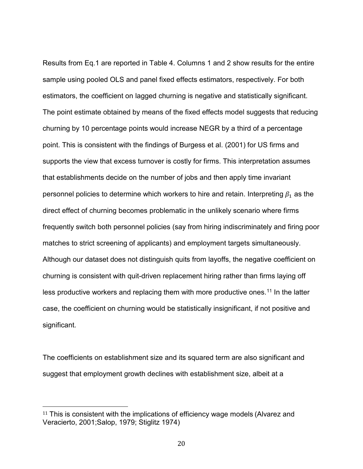Results from Eq.1 are reported in Table 4. Columns 1 and 2 show results for the entire sample using pooled OLS and panel fixed effects estimators, respectively. For both estimators, the coefficient on lagged churning is negative and statistically significant. The point estimate obtained by means of the fixed effects model suggests that reducing churning by 10 percentage points would increase NEGR by a third of a percentage point. This is consistent with the findings of Burgess et al. (2001) for US firms and supports the view that excess turnover is costly for firms. This interpretation assumes that establishments decide on the number of jobs and then apply time invariant personnel policies to determine which workers to hire and retain. Interpreting  $\beta_1$  as the direct effect of churning becomes problematic in the unlikely scenario where firms frequently switch both personnel policies (say from hiring indiscriminately and firing poor matches to strict screening of applicants) and employment targets simultaneously. Although our dataset does not distinguish quits from layoffs, the negative coefficient on churning is consistent with quit-driven replacement hiring rather than firms laying off less productive workers and replacing them with more productive ones.<sup>[11](#page-19-0)</sup> In the latter case, the coefficient on churning would be statistically insignificant, if not positive and significant.

The coefficients on establishment size and its squared term are also significant and suggest that employment growth declines with establishment size, albeit at a

<span id="page-19-0"></span> $11$  This is consistent with the implications of efficiency wage models (Alvarez and Veracierto, 2001;Salop, 1979; Stiglitz 1974)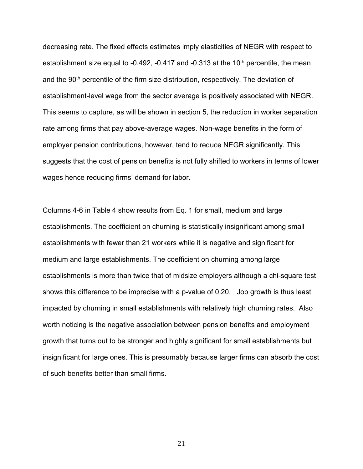decreasing rate. The fixed effects estimates imply elasticities of NEGR with respect to establishment size equal to -0.492, -0.417 and -0.313 at the  $10<sup>th</sup>$  percentile, the mean and the 90<sup>th</sup> percentile of the firm size distribution, respectively. The deviation of establishment-level wage from the sector average is positively associated with NEGR. This seems to capture, as will be shown in section 5, the reduction in worker separation rate among firms that pay above-average wages. Non-wage benefits in the form of employer pension contributions, however, tend to reduce NEGR significantly. This suggests that the cost of pension benefits is not fully shifted to workers in terms of lower wages hence reducing firms' demand for labor.

Columns 4-6 in Table 4 show results from Eq. 1 for small, medium and large establishments. The coefficient on churning is statistically insignificant among small establishments with fewer than 21 workers while it is negative and significant for medium and large establishments. The coefficient on churning among large establishments is more than twice that of midsize employers although a chi-square test shows this difference to be imprecise with a p-value of 0.20. Job growth is thus least impacted by churning in small establishments with relatively high churning rates. Also worth noticing is the negative association between pension benefits and employment growth that turns out to be stronger and highly significant for small establishments but insignificant for large ones. This is presumably because larger firms can absorb the cost of such benefits better than small firms.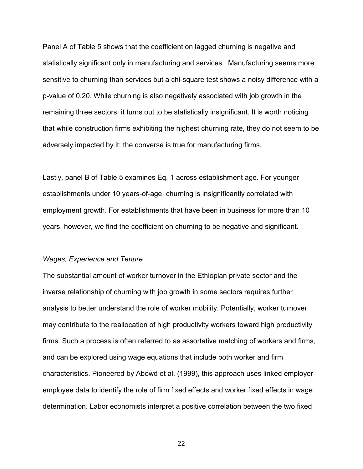Panel A of Table 5 shows that the coefficient on lagged churning is negative and statistically significant only in manufacturing and services. Manufacturing seems more sensitive to churning than services but a chi-square test shows a noisy difference with a p-value of 0.20. While churning is also negatively associated with job growth in the remaining three sectors, it turns out to be statistically insignificant. It is worth noticing that while construction firms exhibiting the highest churning rate, they do not seem to be adversely impacted by it; the converse is true for manufacturing firms.

Lastly, panel B of Table 5 examines Eq. 1 across establishment age. For younger establishments under 10 years-of-age, churning is insignificantly correlated with employment growth. For establishments that have been in business for more than 10 years, however, we find the coefficient on churning to be negative and significant.

#### *Wages, Experience and Tenure*

The substantial amount of worker turnover in the Ethiopian private sector and the inverse relationship of churning with job growth in some sectors requires further analysis to better understand the role of worker mobility. Potentially, worker turnover may contribute to the reallocation of high productivity workers toward high productivity firms. Such a process is often referred to as assortative matching of workers and firms, and can be explored using wage equations that include both worker and firm characteristics. Pioneered by Abowd et al. (1999), this approach uses linked employeremployee data to identify the role of firm fixed effects and worker fixed effects in wage determination. Labor economists interpret a positive correlation between the two fixed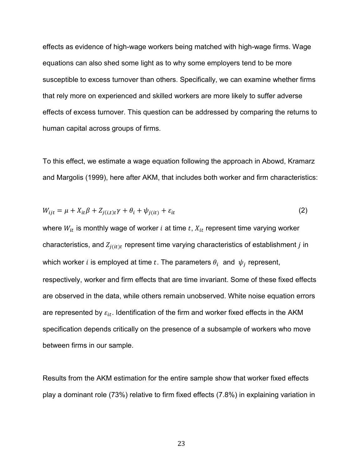effects as evidence of high-wage workers being matched with high-wage firms. Wage equations can also shed some light as to why some employers tend to be more susceptible to excess turnover than others. Specifically, we can examine whether firms that rely more on experienced and skilled workers are more likely to suffer adverse effects of excess turnover. This question can be addressed by comparing the returns to human capital across groups of firms.

To this effect, we estimate a wage equation following the approach in Abowd, Kramarz and Margolis (1999), here after AKM, that includes both worker and firm characteristics:

$$
W_{ijt} = \mu + X_{it}\beta + Z_{j(i,t)t}\gamma + \theta_i + \psi_{j(it)} + \varepsilon_{it}
$$
\n<sup>(2)</sup>

where  $W_{it}$  is monthly wage of worker *i* at time  $t$ ,  $X_{it}$  represent time varying worker characteristics, and  $Z_{i(it)t}$  represent time varying characteristics of establishment *j* in which worker *i* is employed at time *t*. The parameters  $\theta_i$  and  $\psi_j$  represent, respectively, worker and firm effects that are time invariant. Some of these fixed effects are observed in the data, while others remain unobserved. White noise equation errors are represented by  $\varepsilon_{it}$ . Identification of the firm and worker fixed effects in the AKM specification depends critically on the presence of a subsample of workers who move between firms in our sample.

Results from the AKM estimation for the entire sample show that worker fixed effects play a dominant role (73%) relative to firm fixed effects (7.8%) in explaining variation in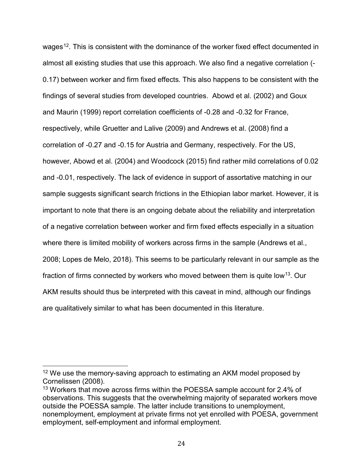wages<sup>[12](#page-23-0)</sup>. This is consistent with the dominance of the worker fixed effect documented in almost all existing studies that use this approach. We also find a negative correlation (- 0.17) between worker and firm fixed effects. This also happens to be consistent with the findings of several studies from developed countries. Abowd et al. (2002) and Goux and Maurin (1999) report correlation coefficients of -0.28 and -0.32 for France, respectively, while Gruetter and Lalive (2009) and Andrews et al. (2008) find a correlation of -0.27 and -0.15 for Austria and Germany, respectively. For the US, however, Abowd et al. (2004) and Woodcock (2015) find rather mild correlations of 0.02 and -0.01, respectively. The lack of evidence in support of assortative matching in our sample suggests significant search frictions in the Ethiopian labor market. However, it is important to note that there is an ongoing debate about the reliability and interpretation of a negative correlation between worker and firm fixed effects especially in a situation where there is limited mobility of workers across firms in the sample (Andrews et al., 2008; Lopes de Melo, 2018). This seems to be particularly relevant in our sample as the fraction of firms connected by workers who moved between them is quite low<sup>13</sup>. Our AKM results should thus be interpreted with this caveat in mind, although our findings are qualitatively similar to what has been documented in this literature.

<span id="page-23-0"></span><sup>&</sup>lt;sup>12</sup> We use the memory-saving approach to estimating an AKM model proposed by Cornelissen (2008).

<span id="page-23-1"></span><sup>13</sup> Workers that move across firms within the POESSA sample account for 2.4% of observations. This suggests that the overwhelming majority of separated workers move outside the POESSA sample. The latter include transitions to unemployment, nonemployment, employment at private firms not yet enrolled with POESA, government employment, self-employment and informal employment.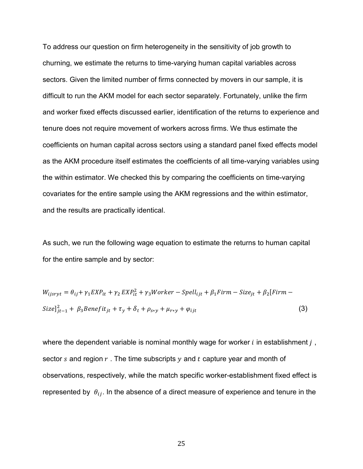To address our question on firm heterogeneity in the sensitivity of job growth to churning, we estimate the returns to time-varying human capital variables across sectors. Given the limited number of firms connected by movers in our sample, it is difficult to run the AKM model for each sector separately. Fortunately, unlike the firm and worker fixed effects discussed earlier, identification of the returns to experience and tenure does not require movement of workers across firms. We thus estimate the coefficients on human capital across sectors using a standard panel fixed effects model as the AKM procedure itself estimates the coefficients of all time-varying variables using the within estimator. We checked this by comparing the coefficients on time-varying covariates for the entire sample using the AKM regressions and the within estimator, and the results are practically identical.

As such, we run the following wage equation to estimate the returns to human capital for the entire sample and by sector:

$$
W_{ijsryt} = \theta_{ij} + \gamma_1 EXP_{it} + \gamma_2 EXP_{it}^2 + \gamma_3 Worker - Spell_{ijt} + \beta_1 Firm - Size_{jt} + \beta_2 [Firm -
$$
  
\n
$$
Size]_{jt-1}^2 + \beta_3 Benefit_{jt} + \tau_y + \delta_t + \rho_{s*y} + \mu_{r*y} + \varphi_{ijt}
$$
\n(3)

where the dependent variable is nominal monthly wage for worker  $i$  in establishment  $j$ , sector s and region  $r$ . The time subscripts  $y$  and  $t$  capture year and month of observations, respectively, while the match specific worker-establishment fixed effect is represented by  $\theta_{ij}$ . In the absence of a direct measure of experience and tenure in the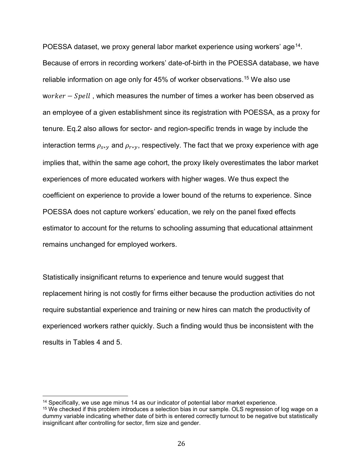POESSA dataset, we proxy general labor market experience using workers' age<sup>14</sup>. Because of errors in recording workers' date-of-birth in the POESSA database, we have reliable information on age only for 45% of worker observations.<sup>[15](#page-25-1)</sup> We also use  $worker - Spell$ , which measures the number of times a worker has been observed as an employee of a given establishment since its registration with POESSA, as a proxy for tenure. Eq.2 also allows for sector- and region-specific trends in wage by include the interaction terms  $\rho_{s*y}$  and  $\rho_{r*y}$ , respectively. The fact that we proxy experience with age implies that, within the same age cohort, the proxy likely overestimates the labor market experiences of more educated workers with higher wages. We thus expect the coefficient on experience to provide a lower bound of the returns to experience. Since POESSA does not capture workers' education, we rely on the panel fixed effects estimator to account for the returns to schooling assuming that educational attainment remains unchanged for employed workers.

Statistically insignificant returns to experience and tenure would suggest that replacement hiring is not costly for firms either because the production activities do not require substantial experience and training or new hires can match the productivity of experienced workers rather quickly. Such a finding would thus be inconsistent with the results in Tables 4 and 5.

<span id="page-25-0"></span><sup>&</sup>lt;sup>14</sup> Specifically, we use age minus 14 as our indicator of potential labor market experience.

<span id="page-25-1"></span><sup>15</sup> We checked if this problem introduces a selection bias in our sample. OLS regression of log wage on a dummy variable indicating whether date of birth is entered correctly turnout to be negative but statistically insignificant after controlling for sector, firm size and gender.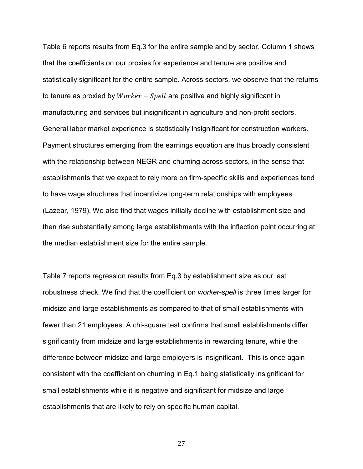Table 6 reports results from Eq.3 for the entire sample and by sector. Column 1 shows that the coefficients on our proxies for experience and tenure are positive and statistically significant for the entire sample. Across sectors, we observe that the returns to tenure as proxied by  $Worker - Spell$  are positive and highly significant in manufacturing and services but insignificant in agriculture and non-profit sectors. General labor market experience is statistically insignificant for construction workers. Payment structures emerging from the earnings equation are thus broadly consistent with the relationship between NEGR and churning across sectors, in the sense that establishments that we expect to rely more on firm-specific skills and experiences tend to have wage structures that incentivize long-term relationships with employees (Lazear, 1979). We also find that wages initially decline with establishment size and then rise substantially among large establishments with the inflection point occurring at the median establishment size for the entire sample.

Table 7 reports regression results from Eq.3 by establishment size as our last robustness check. We find that the coefficient on *worker-spell* is three times larger for midsize and large establishments as compared to that of small establishments with fewer than 21 employees. A chi-square test confirms that small establishments differ significantly from midsize and large establishments in rewarding tenure, while the difference between midsize and large employers is insignificant. This is once again consistent with the coefficient on churning in Eq.1 being statistically insignificant for small establishments while it is negative and significant for midsize and large establishments that are likely to rely on specific human capital.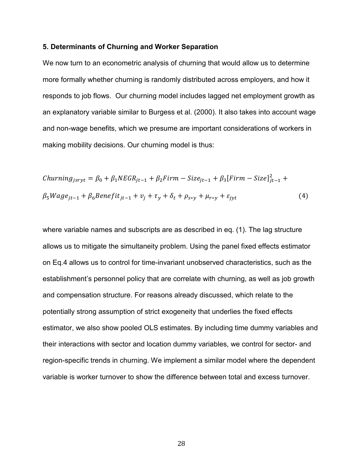#### **5. Determinants of Churning and Worker Separation**

We now turn to an econometric analysis of churning that would allow us to determine more formally whether churning is randomly distributed across employers, and how it responds to job flows. Our churning model includes lagged net employment growth as an explanatory variable similar to Burgess et al. (2000). It also takes into account wage and non-wage benefits, which we presume are important considerations of workers in making mobility decisions. Our churning model is thus:

$$
Churning_{jsryt} = \beta_0 + \beta_1 NEGR_{jt-1} + \beta_2 Firm - Size_{jt-1} + \beta_3 [Firm - Size]_{jt-1}^2 +
$$
  

$$
\beta_5 Wage_{jt-1} + \beta_6 Benefit_{jt-1} + v_j + \tau_y + \delta_t + \rho_{s*y} + \mu_{r*y} + \varepsilon_{jyt}
$$
 (4)

where variable names and subscripts are as described in eq. (1). The lag structure allows us to mitigate the simultaneity problem. Using the panel fixed effects estimator on Eq.4 allows us to control for time-invariant unobserved characteristics, such as the establishment's personnel policy that are correlate with churning, as well as job growth and compensation structure. For reasons already discussed, which relate to the potentially strong assumption of strict exogeneity that underlies the fixed effects estimator, we also show pooled OLS estimates. By including time dummy variables and their interactions with sector and location dummy variables, we control for sector- and region-specific trends in churning. We implement a similar model where the dependent variable is worker turnover to show the difference between total and excess turnover.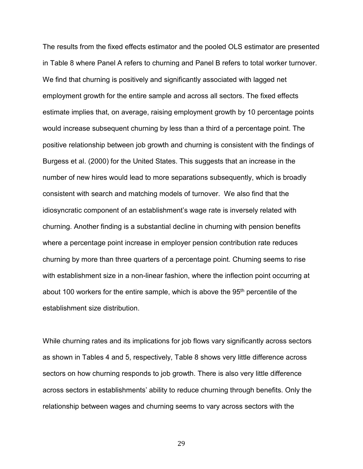The results from the fixed effects estimator and the pooled OLS estimator are presented in Table 8 where Panel A refers to churning and Panel B refers to total worker turnover. We find that churning is positively and significantly associated with lagged net employment growth for the entire sample and across all sectors. The fixed effects estimate implies that, on average, raising employment growth by 10 percentage points would increase subsequent churning by less than a third of a percentage point. The positive relationship between job growth and churning is consistent with the findings of Burgess et al. (2000) for the United States. This suggests that an increase in the number of new hires would lead to more separations subsequently, which is broadly consistent with search and matching models of turnover. We also find that the idiosyncratic component of an establishment's wage rate is inversely related with churning. Another finding is a substantial decline in churning with pension benefits where a percentage point increase in employer pension contribution rate reduces churning by more than three quarters of a percentage point. Churning seems to rise with establishment size in a non-linear fashion, where the inflection point occurring at about 100 workers for the entire sample, which is above the 95th percentile of the establishment size distribution.

While churning rates and its implications for job flows vary significantly across sectors as shown in Tables 4 and 5, respectively, Table 8 shows very little difference across sectors on how churning responds to job growth. There is also very little difference across sectors in establishments' ability to reduce churning through benefits. Only the relationship between wages and churning seems to vary across sectors with the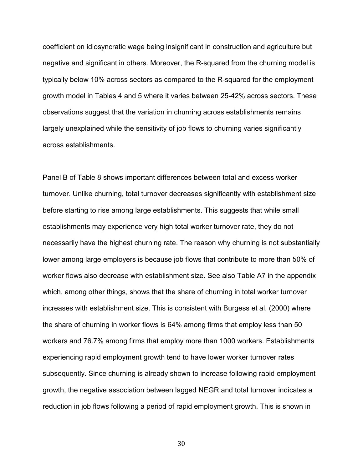coefficient on idiosyncratic wage being insignificant in construction and agriculture but negative and significant in others. Moreover, the R-squared from the churning model is typically below 10% across sectors as compared to the R-squared for the employment growth model in Tables 4 and 5 where it varies between 25-42% across sectors. These observations suggest that the variation in churning across establishments remains largely unexplained while the sensitivity of job flows to churning varies significantly across establishments.

Panel B of Table 8 shows important differences between total and excess worker turnover. Unlike churning, total turnover decreases significantly with establishment size before starting to rise among large establishments. This suggests that while small establishments may experience very high total worker turnover rate, they do not necessarily have the highest churning rate. The reason why churning is not substantially lower among large employers is because job flows that contribute to more than 50% of worker flows also decrease with establishment size. See also Table A7 in the appendix which, among other things, shows that the share of churning in total worker turnover increases with establishment size. This is consistent with Burgess et al. (2000) where the share of churning in worker flows is 64% among firms that employ less than 50 workers and 76.7% among firms that employ more than 1000 workers. Establishments experiencing rapid employment growth tend to have lower worker turnover rates subsequently. Since churning is already shown to increase following rapid employment growth, the negative association between lagged NEGR and total turnover indicates a reduction in job flows following a period of rapid employment growth. This is shown in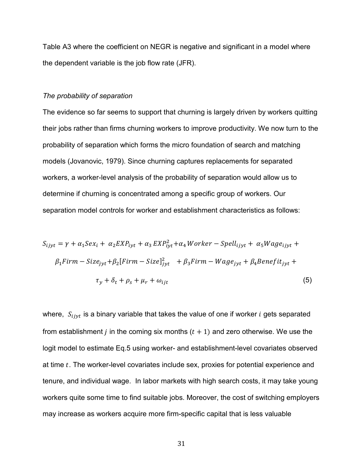Table A3 where the coefficient on NEGR is negative and significant in a model where the dependent variable is the job flow rate (JFR).

#### *The probability of separation*

The evidence so far seems to support that churning is largely driven by workers quitting their jobs rather than firms churning workers to improve productivity. We now turn to the probability of separation which forms the micro foundation of search and matching models (Jovanovic, 1979). Since churning captures replacements for separated workers, a worker-level analysis of the probability of separation would allow us to determine if churning is concentrated among a specific group of workers. Our separation model controls for worker and establishment characteristics as follows:

$$
S_{ijyt} = \gamma + \alpha_1 Sex_i + \alpha_2 EXP_{iyt} + \alpha_3 EXP_{iyt}^2 + \alpha_4 Where - Spell_{ijyt} + \alpha_5 Wage_{ijyt} +
$$
  
\n
$$
\beta_1 Firm - Size_{jyt} + \beta_2 [Firm - Size]_{jyt}^2 + \beta_3 Firm - Wage_{jyt} + \beta_4 Benefit_{jyt} +
$$
  
\n
$$
\tau_y + \delta_t + \rho_s + \mu_r + \omega_{ijt}
$$
\n(5)

where,  $S_{ijyt}$  is a binary variable that takes the value of one if worker *i* gets separated from establishment *j* in the coming six months  $(t + 1)$  and zero otherwise. We use the logit model to estimate Eq.5 using worker- and establishment-level covariates observed at time  $t$ . The worker-level covariates include sex, proxies for potential experience and tenure, and individual wage. In labor markets with high search costs, it may take young workers quite some time to find suitable jobs. Moreover, the cost of switching employers may increase as workers acquire more firm-specific capital that is less valuable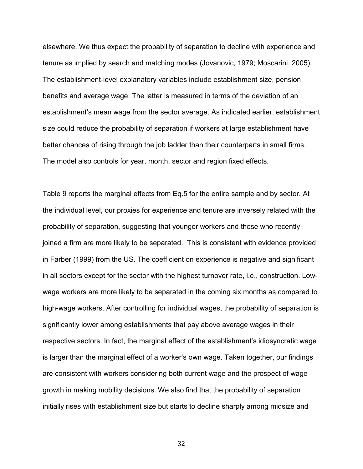elsewhere. We thus expect the probability of separation to decline with experience and tenure as implied by search and matching modes (Jovanovic, 1979; Moscarini, 2005). The establishment-level explanatory variables include establishment size, pension benefits and average wage. The latter is measured in terms of the deviation of an establishment's mean wage from the sector average. As indicated earlier, establishment size could reduce the probability of separation if workers at large establishment have better chances of rising through the job ladder than their counterparts in small firms. The model also controls for year, month, sector and region fixed effects.

Table 9 reports the marginal effects from Eq.5 for the entire sample and by sector. At the individual level, our proxies for experience and tenure are inversely related with the probability of separation, suggesting that younger workers and those who recently joined a firm are more likely to be separated. This is consistent with evidence provided in Farber (1999) from the US. The coefficient on experience is negative and significant in all sectors except for the sector with the highest turnover rate, i.e., construction. Lowwage workers are more likely to be separated in the coming six months as compared to high-wage workers. After controlling for individual wages, the probability of separation is significantly lower among establishments that pay above average wages in their respective sectors. In fact, the marginal effect of the establishment's idiosyncratic wage is larger than the marginal effect of a worker's own wage. Taken together, our findings are consistent with workers considering both current wage and the prospect of wage growth in making mobility decisions. We also find that the probability of separation initially rises with establishment size but starts to decline sharply among midsize and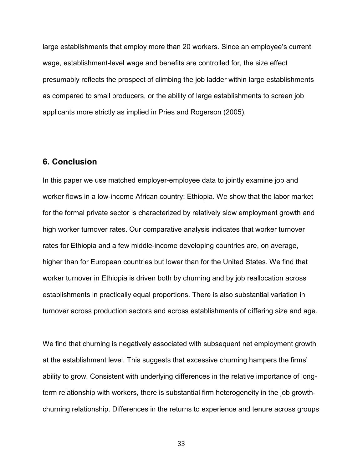large establishments that employ more than 20 workers. Since an employee's current wage, establishment-level wage and benefits are controlled for, the size effect presumably reflects the prospect of climbing the job ladder within large establishments as compared to small producers, or the ability of large establishments to screen job applicants more strictly as implied in Pries and Rogerson (2005).

### **6. Conclusion**

In this paper we use matched employer-employee data to jointly examine job and worker flows in a low-income African country: Ethiopia. We show that the labor market for the formal private sector is characterized by relatively slow employment growth and high worker turnover rates. Our comparative analysis indicates that worker turnover rates for Ethiopia and a few middle-income developing countries are, on average, higher than for European countries but lower than for the United States. We find that worker turnover in Ethiopia is driven both by churning and by job reallocation across establishments in practically equal proportions. There is also substantial variation in turnover across production sectors and across establishments of differing size and age.

We find that churning is negatively associated with subsequent net employment growth at the establishment level. This suggests that excessive churning hampers the firms' ability to grow. Consistent with underlying differences in the relative importance of longterm relationship with workers, there is substantial firm heterogeneity in the job growthchurning relationship. Differences in the returns to experience and tenure across groups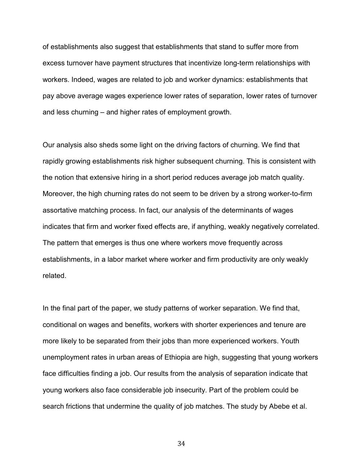of establishments also suggest that establishments that stand to suffer more from excess turnover have payment structures that incentivize long-term relationships with workers. Indeed, wages are related to job and worker dynamics: establishments that pay above average wages experience lower rates of separation, lower rates of turnover and less churning – and higher rates of employment growth.

Our analysis also sheds some light on the driving factors of churning. We find that rapidly growing establishments risk higher subsequent churning. This is consistent with the notion that extensive hiring in a short period reduces average job match quality. Moreover, the high churning rates do not seem to be driven by a strong worker-to-firm assortative matching process. In fact, our analysis of the determinants of wages indicates that firm and worker fixed effects are, if anything, weakly negatively correlated. The pattern that emerges is thus one where workers move frequently across establishments, in a labor market where worker and firm productivity are only weakly related.

In the final part of the paper, we study patterns of worker separation. We find that, conditional on wages and benefits, workers with shorter experiences and tenure are more likely to be separated from their jobs than more experienced workers. Youth unemployment rates in urban areas of Ethiopia are high, suggesting that young workers face difficulties finding a job. Our results from the analysis of separation indicate that young workers also face considerable job insecurity. Part of the problem could be search frictions that undermine the quality of job matches. The study by Abebe et al.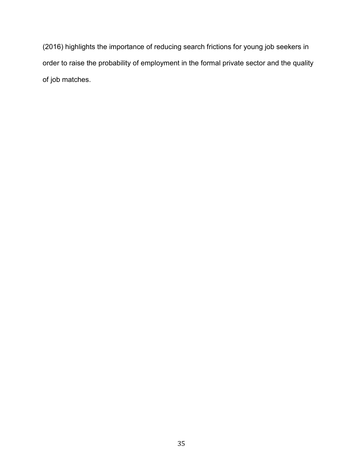(2016) highlights the importance of reducing search frictions for young job seekers in order to raise the probability of employment in the formal private sector and the quality of job matches.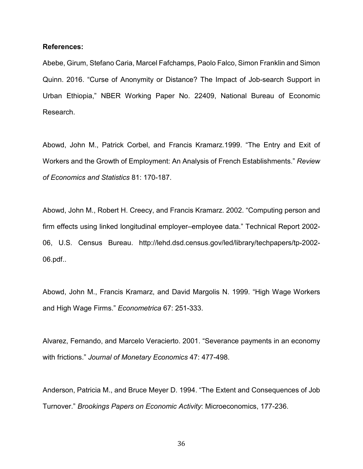### **References:**

Abebe, Girum, Stefano Caria, Marcel Fafchamps, Paolo Falco, Simon Franklin and Simon Quinn. 2016. "Curse of Anonymity or Distance? The Impact of Job-search Support in Urban Ethiopia," NBER Working Paper No. 22409, National Bureau of Economic Research.

Abowd, John M., Patrick Corbel, and Francis Kramarz.1999. "The Entry and Exit of Workers and the Growth of Employment: An Analysis of French Establishments." *Review of Economics and Statistics* 81: 170-187.

Abowd, John M., Robert H. Creecy, and Francis Kramarz. 2002. "Computing person and firm effects using linked longitudinal employer–employee data." Technical Report 2002- 06, U.S. Census Bureau. http://lehd.dsd.census.gov/led/library/techpapers/tp-2002- 06.pdf..

Abowd, John M., Francis Kramarz, and David Margolis N. 1999. "High Wage Workers and High Wage Firms." *Econometrica* 67: 251-333.

Alvarez, Fernando, and Marcelo Veracierto. 2001. "Severance payments in an economy with frictions." *Journal of Monetary Economics* 47: 477-498.

Anderson, Patricia M., and Bruce Meyer D. 1994. "The Extent and Consequences of Job Turnover." *Brookings Papers on Economic Activity*: Microeconomics, 177-236.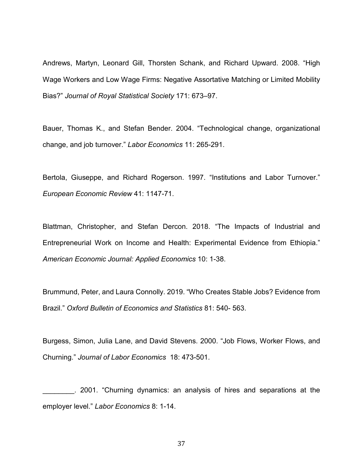Andrews, Martyn, Leonard Gill, Thorsten Schank, and Richard Upward. 2008. "High Wage Workers and Low Wage Firms: Negative Assortative Matching or Limited Mobility Bias?" *Journal of Royal Statistical Society* 171: 673–97.

Bauer, Thomas K., and Stefan Bender. 2004. "Technological change, organizational change, and job turnover." *Labor Economics* 11: 265-291.

Bertola, Giuseppe, and Richard Rogerson. 1997. "Institutions and Labor Turnover." *European Economic Review* 41: 1147-71.

Blattman, Christopher, and Stefan Dercon. 2018. "The Impacts of Industrial and Entrepreneurial Work on Income and Health: Experimental Evidence from Ethiopia." *American Economic Journal: Applied Economics* 10: 1-38.

Brummund, Peter, and Laura Connolly. 2019. "Who Creates Stable Jobs? Evidence from Brazil." *Oxford Bulletin of Economics and Statistics* 81: 540- 563.

Burgess, Simon, Julia Lane, and David Stevens. 2000. "Job Flows, Worker Flows, and Churning." *Journal of Labor Economics* 18: 473-501.

\_\_\_\_\_\_\_\_. 2001. "Churning dynamics: an analysis of hires and separations at the employer level." *Labor Economics* 8: 1-14.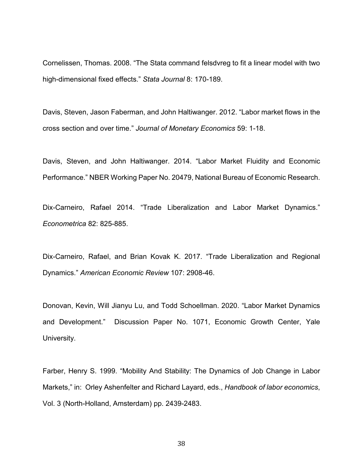Cornelissen, Thomas. 2008. "The Stata command felsdvreg to fit a linear model with two high-dimensional fixed effects." *Stata Journal* 8: 170-189.

Davis, Steven, Jason Faberman, and John Haltiwanger. 2012. "Labor market flows in the cross section and over time." *Journal of Monetary Economics* 59: 1-18.

Davis, Steven, and John Haltiwanger. 2014. "Labor Market Fluidity and Economic Performance." NBER Working Paper No. 20479, National Bureau of Economic Research.

Dix-Carneiro, Rafael 2014. "Trade Liberalization and Labor Market Dynamics." *Econometrica* 82: 825-885.

Dix-Carneiro, Rafael, and Brian Kovak K. 2017. "Trade Liberalization and Regional Dynamics." *American Economic Review* 107: 2908-46.

Donovan, Kevin, Will Jianyu Lu, and Todd Schoellman. 2020. "Labor Market Dynamics and Development." Discussion Paper No. 1071, Economic Growth Center, Yale University.

Farber, Henry S. 1999. "Mobility And Stability: The Dynamics of Job Change in Labor Markets," in: Orley Ashenfelter and Richard Layard, eds., *Handbook of labor economics*, Vol. 3 (North-Holland, Amsterdam) pp. 2439-2483.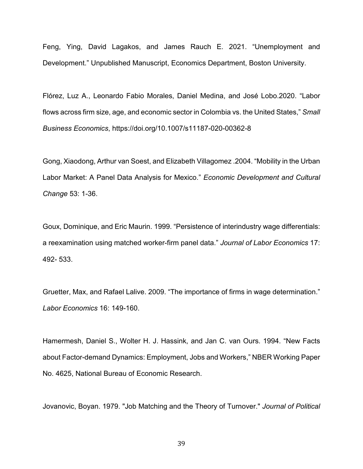Feng, Ying, David Lagakos, and James Rauch E. 2021. "Unemployment and Development." Unpublished Manuscript, Economics Department, Boston University.

Flórez, Luz A., Leonardo Fabio Morales, Daniel Medina, and José Lobo.2020. "Labor flows across firm size, age, and economic sector in Colombia vs. the United States," *Small Business Economics*, https://doi.org/10.1007/s11187-020-00362-8

Gong, Xiaodong, Arthur van Soest, and Elizabeth Villagomez .2004. "Mobility in the Urban Labor Market: A Panel Data Analysis for Mexico." *Economic Development and Cultural Change* 53: 1-36.

Goux, Dominique, and Eric Maurin. 1999. "Persistence of interindustry wage differentials: a reexamination using matched worker-firm panel data." *Journal of Labor Economics* 17: 492- 533.

Gruetter, Max, and Rafael Lalive. 2009. "The importance of firms in wage determination." *Labor Economics* 16: 149-160.

Hamermesh, Daniel S., Wolter H. J. Hassink, and Jan C. van Ours. 1994. "New Facts about Factor-demand Dynamics: Employment, Jobs and Workers," NBER Working Paper No. 4625, National Bureau of Economic Research.

Jovanovic, Boyan. 1979. "Job Matching and the Theory of Turnover." *Journal of Political*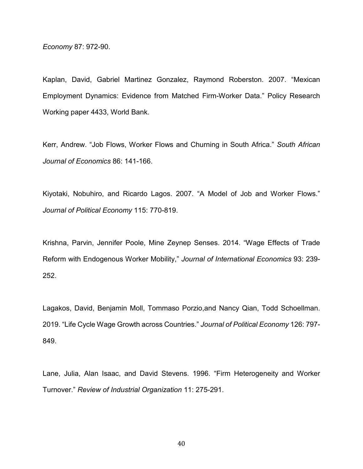*Economy* 87: 972-90.

Kaplan, David, Gabriel Martinez Gonzalez, Raymond Roberston. 2007. "Mexican Employment Dynamics: Evidence from Matched Firm-Worker Data." Policy Research Working paper 4433, World Bank.

Kerr, Andrew. "Job Flows, Worker Flows and Churning in South Africa." *South African Journal of Economics* 86: 141-166.

Kiyotaki, Nobuhiro, and Ricardo Lagos. 2007. "A Model of Job and Worker Flows." *Journal of Political Economy* 115: 770-819.

Krishna, Parvin, Jennifer Poole, Mine Zeynep Senses. 2014. "Wage Effects of Trade Reform with Endogenous Worker Mobility," *Journal of International Economics* 93: 239- 252.

Lagakos, David, Benjamin Moll, Tommaso Porzio,and Nancy Qian, Todd Schoellman. 2019. "Life Cycle Wage Growth across Countries." *Journal of Political Economy* 126: 797- 849.

Lane, Julia, Alan Isaac, and David Stevens. 1996. "Firm Heterogeneity and Worker Turnover." *Review of Industrial Organization* 11: 275-291.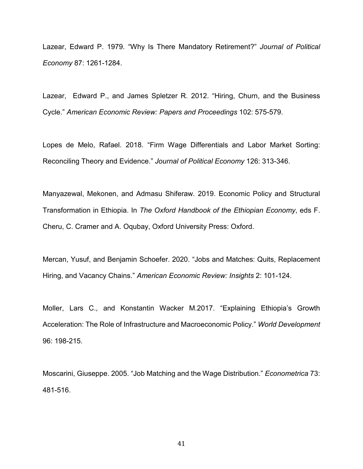Lazear, Edward P. 1979. "Why Is There Mandatory Retirement?" *Journal of Political Economy* 87: 1261-1284.

Lazear, Edward P., and James Spletzer R. 2012. "Hiring, Churn, and the Business Cycle." *American Economic Review: Papers and Proceedings* 102: 575-579.

Lopes de Melo, Rafael. 2018. "Firm Wage Differentials and Labor Market Sorting: Reconciling Theory and Evidence." *Journal of Political Economy* 126: 313-346.

Manyazewal, Mekonen, and Admasu Shiferaw. 2019. Economic Policy and Structural Transformation in Ethiopia. In *The Oxford Handbook of the Ethiopian Economy*, eds F. Cheru, C. Cramer and A. Oqubay, Oxford University Press: Oxford.

Mercan, Yusuf, and Benjamin Schoefer. 2020. "Jobs and Matches: Quits, Replacement Hiring, and Vacancy Chains." *American Economic Review: Insights* 2: 101-124.

Moller, Lars C., and Konstantin Wacker M.2017. "Explaining Ethiopia's Growth Acceleration: The Role of Infrastructure and Macroeconomic Policy." *World Development* 96: 198-215.

Moscarini, Giuseppe. 2005. "Job Matching and the Wage Distribution." *Econometrica* 73: 481-516.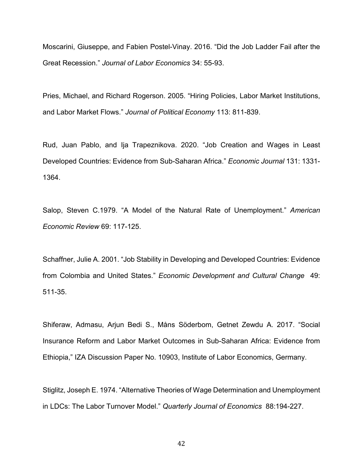Moscarini, Giuseppe, and Fabien Postel-Vinay. 2016. "Did the Job Ladder Fail after the Great Recession." *Journal of Labor Economics* 34: 55-93.

Pries, Michael, and Richard Rogerson. 2005. "Hiring Policies, Labor Market Institutions, and Labor Market Flows." *Journal of Political Economy* 113: 811-839.

Rud, Juan Pablo, and Ija Trapeznikova. 2020. "Job Creation and Wages in Least Developed Countries: Evidence from Sub-Saharan Africa." *Economic Journal* 131: 1331- 1364.

Salop, Steven C.1979. "A Model of the Natural Rate of Unemployment." *American Economic Review* 69: 117-125.

Schaffner, Julie A. 2001. "Job Stability in Developing and Developed Countries: Evidence from Colombia and United States." *Economic Development and Cultural Change* 49: 511-35.

Shiferaw, Admasu, Arjun Bedi S., Måns Söderbom, Getnet Zewdu A. 2017. "Social Insurance Reform and Labor Market Outcomes in Sub-Saharan Africa: Evidence from Ethiopia," IZA Discussion Paper No. 10903, Institute of Labor Economics, Germany.

Stiglitz, Joseph E. 1974. "Alternative Theories of Wage Determination and Unemployment in LDCs: The Labor Turnover Model." *Quarterly Journal of Economics* 88:194-227.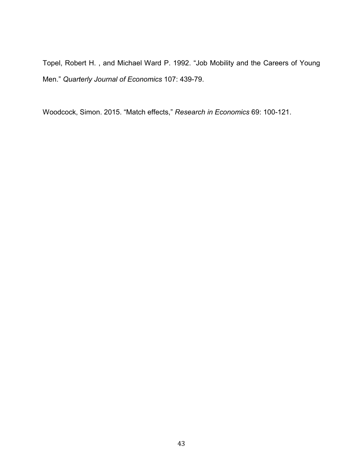Topel, Robert H. , and Michael Ward P. 1992. "Job Mobility and the Careers of Young Men." *Quarterly Journal of Economics* 107: 439-79.

Woodcock, Simon. 2015. "Match effects," *Research in Economics* 69: 100-121.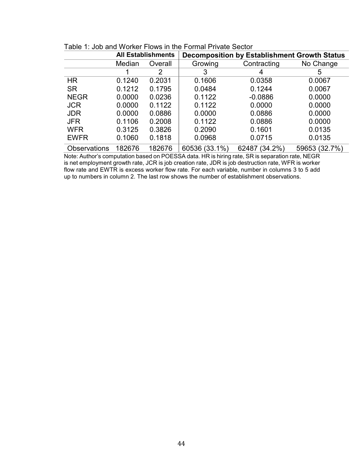|                     |        | <b>All Establishments</b> | <b>Decomposition by Establishment Growth Status</b> |               |               |  |
|---------------------|--------|---------------------------|-----------------------------------------------------|---------------|---------------|--|
|                     | Median | Overall                   | Growing                                             | Contracting   | No Change     |  |
|                     |        |                           |                                                     | 4             | 5             |  |
| <b>HR</b>           | 0.1240 | 0.2031                    | 0.1606                                              | 0.0358        | 0.0067        |  |
| <b>SR</b>           | 0.1212 | 0.1795                    | 0.0484                                              | 0.1244        | 0.0067        |  |
| <b>NEGR</b>         | 0.0000 | 0.0236                    | 0.1122                                              | $-0.0886$     | 0.0000        |  |
| <b>JCR</b>          | 0.0000 | 0.1122                    | 0.1122                                              | 0.0000        | 0.0000        |  |
| <b>JDR</b>          | 0.0000 | 0.0886                    | 0.0000                                              | 0.0886        | 0.0000        |  |
| <b>JFR</b>          | 0.1106 | 0.2008                    | 0.1122                                              | 0.0886        | 0.0000        |  |
| <b>WFR</b>          | 0.3125 | 0.3826                    | 0.2090                                              | 0.1601        | 0.0135        |  |
| <b>EWFR</b>         | 0.1060 | 0.1818                    | 0.0968                                              | 0.0715        | 0.0135        |  |
| <b>Observations</b> | 182676 | 182676                    | 60536 (33.1%)                                       | 62487 (34.2%) | 59653 (32.7%) |  |

|  | Table 1: Job and Worker Flows in the Formal Private Sector |
|--|------------------------------------------------------------|
|--|------------------------------------------------------------|

Note: Author's computation based on POESSA data. HR is hiring rate, SR is separation rate, NEGR is net employment growth rate, JCR is job creation rate, JDR is job destruction rate, WFR is worker flow rate and EWTR is excess worker flow rate. For each variable, number in columns 3 to 5 add up to numbers in column 2. The last row shows the number of establishment observations.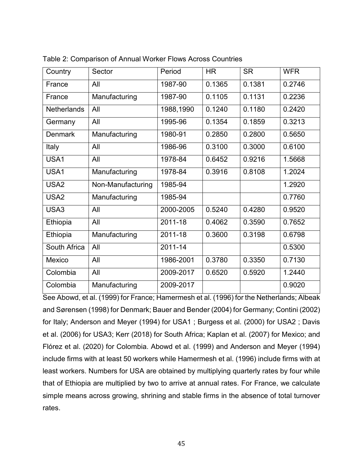| Country            | Sector            | Period    | <b>HR</b> | <b>SR</b> | <b>WFR</b> |
|--------------------|-------------------|-----------|-----------|-----------|------------|
| France             | All               | 1987-90   | 0.1365    | 0.1381    | 0.2746     |
| France             | Manufacturing     | 1987-90   | 0.1105    | 0.1131    | 0.2236     |
| <b>Netherlands</b> | All               | 1988,1990 | 0.1240    | 0.1180    | 0.2420     |
| Germany            | All               | 1995-96   | 0.1354    | 0.1859    | 0.3213     |
| <b>Denmark</b>     | Manufacturing     | 1980-91   | 0.2850    | 0.2800    | 0.5650     |
| Italy              | All               | 1986-96   | 0.3100    | 0.3000    | 0.6100     |
| USA1               | All               | 1978-84   | 0.6452    | 0.9216    | 1.5668     |
| USA1               | Manufacturing     | 1978-84   | 0.3916    | 0.8108    | 1.2024     |
| USA <sub>2</sub>   | Non-Manufacturing | 1985-94   |           |           | 1.2920     |
| USA <sub>2</sub>   | Manufacturing     | 1985-94   |           |           | 0.7760     |
| USA3               | All               | 2000-2005 | 0.5240    | 0.4280    | 0.9520     |
| Ethiopia           | All               | 2011-18   | 0.4062    | 0.3590    | 0.7652     |
| Ethiopia           | Manufacturing     | 2011-18   | 0.3600    | 0.3198    | 0.6798     |
| South Africa       | All               | 2011-14   |           |           | 0.5300     |
| Mexico             | All               | 1986-2001 | 0.3780    | 0.3350    | 0.7130     |
| Colombia           | All               | 2009-2017 | 0.6520    | 0.5920    | 1.2440     |
| Colombia           | Manufacturing     | 2009-2017 |           |           | 0.9020     |

Table 2: Comparison of Annual Worker Flows Across Countries

See Abowd, et al. (1999) for France; Hamermesh et al. (1996) for the Netherlands; Albeak and Sørensen (1998) for Denmark; Bauer and Bender (2004) for Germany; Contini (2002) for Italy; Anderson and Meyer (1994) for USA1 ; Burgess et al. (2000) for USA2 ; Davis et al. (2006) for USA3; Kerr (2018) for South Africa; Kaplan et al. (2007) for Mexico; and Flórez et al. (2020) for Colombia. Abowd et al. (1999) and Anderson and Meyer (1994) include firms with at least 50 workers while Hamermesh et al. (1996) include firms with at least workers. Numbers for USA are obtained by multiplying quarterly rates by four while that of Ethiopia are multiplied by two to arrive at annual rates. For France, we calculate simple means across growing, shrining and stable firms in the absence of total turnover rates.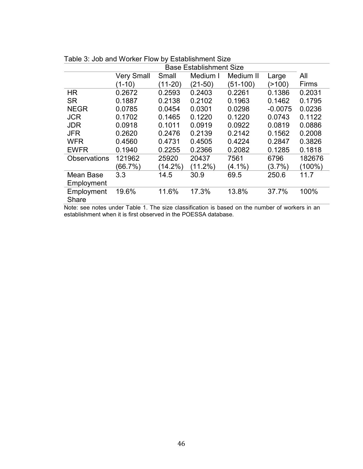| <b>Base Establishment Size</b> |                   |            |            |           |           |              |
|--------------------------------|-------------------|------------|------------|-----------|-----------|--------------|
|                                | <b>Very Small</b> | Small      | Medium I   | Medium II | Large     | All          |
|                                | (1-10)            | (11-20)    | (21-50)    | (51-100)  | (>100)    | <b>Firms</b> |
| HR                             | 0.2672            | 0.2593     | 0.2403     | 0.2261    | 0.1386    | 0.2031       |
| <b>SR</b>                      | 0.1887            | 0.2138     | 0.2102     | 0.1963    | 0.1462    | 0.1795       |
| <b>NEGR</b>                    | 0.0785            | 0.0454     | 0.0301     | 0.0298    | $-0.0075$ | 0.0236       |
| <b>JCR</b>                     | 0.1702            | 0.1465     | 0.1220     | 0.1220    | 0.0743    | 0.1122       |
| <b>JDR</b>                     | 0.0918            | 0.1011     | 0.0919     | 0.0922    | 0.0819    | 0.0886       |
| <b>JFR</b>                     | 0.2620            | 0.2476     | 0.2139     | 0.2142    | 0.1562    | 0.2008       |
| <b>WFR</b>                     | 0.4560            | 0.4731     | 0.4505     | 0.4224    | 0.2847    | 0.3826       |
| <b>EWFR</b>                    | 0.1940            | 0.2255     | 0.2366     | 0.2082    | 0.1285    | 0.1818       |
| <b>Observations</b>            | 121962            | 25920      | 20437      | 7561      | 6796      | 182676       |
|                                | (66.7%)           | $(14.2\%)$ | $(11.2\%)$ | $(4.1\%)$ | $(3.7\%)$ | (100%)       |
| Mean Base                      | 3.3               | 14.5       | 30.9       | 69.5      | 250.6     | 11.7         |
| Employment                     |                   |            |            |           |           |              |
| Employment<br>Share            | 19.6%             | 11.6%      | 17.3%      | 13.8%     | 37.7%     | 100%         |
|                                |                   |            |            |           |           |              |

Table 3: Job and Worker Flow by Establishment Size

Note: see notes under Table 1. The size classification is based on the number of workers in an establishment when it is first observed in the POESSA database.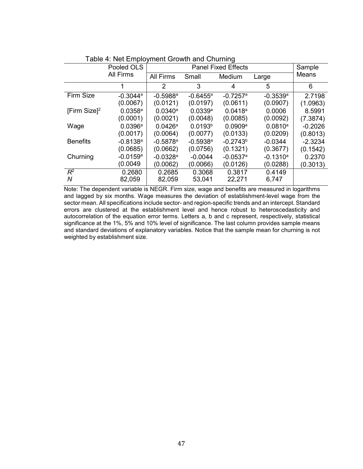|                 | <u>Fabio 4. Not Employment Orowth and Onaming</u><br><b>Panel Fixed Effects</b> |                        |                        |                        |                        |           |  |  |
|-----------------|---------------------------------------------------------------------------------|------------------------|------------------------|------------------------|------------------------|-----------|--|--|
|                 | Pooled OLS                                                                      |                        |                        | Sample                 |                        |           |  |  |
|                 | <b>All Firms</b>                                                                | <b>All Firms</b>       | Small                  | Medium                 | Large                  | Means     |  |  |
|                 | 1                                                                               | 2                      | 3                      | 4                      | 5                      | 6         |  |  |
| Firm Size       | $-0.3044$ <sup>a</sup>                                                          | $-0.5988$ <sup>a</sup> | $-0.6455$ <sup>a</sup> | $-0.7257$ <sup>a</sup> | $-0.3539$ <sup>a</sup> | 2.7198    |  |  |
|                 | (0.0067)                                                                        | (0.0121)               | (0.0197)               | (0.0611)               | (0.0907)               | (1.0963)  |  |  |
| [Firm Size] $2$ | $0.0358$ <sup>a</sup>                                                           | $0.0340^{\circ}$       | 0.0339a                | $0.0418^a$             | 0.0006                 | 8.5991    |  |  |
|                 | (0.0001)                                                                        | (0.0021)               | (0.0048)               | (0.0085)               | (0.0092)               | (7.3874)  |  |  |
| Wage            | $0.0396^{\text{a}}$                                                             | $0.0426^{\circ}$       | 0.0193 <sup>b</sup>    | $0.0909^{\rm a}$       | $0.0810^a$             | $-0.2026$ |  |  |
|                 | (0.0017)                                                                        | (0.0064)               | (0.0077)               | (0.0133)               | (0.0209)               | (0.8013)  |  |  |
| <b>Benefits</b> | $-0.8138$ <sup>a</sup>                                                          | $-0.5878$ <sup>a</sup> | $-0.5938$ <sup>a</sup> | $-0.2743^b$            | $-0.0344$              | $-2.3234$ |  |  |
|                 | (0.0685)                                                                        | (0.0662)               | (0.0756)               | (0.1321)               | (0.3677)               | (0.1542)  |  |  |
| Churning        | $-0.0159$ <sup>a</sup>                                                          | $-0.0328$ <sup>a</sup> | $-0.0044$              | $-0.0537$ <sup>a</sup> | $-0.1310^a$            | 0.2370    |  |  |
|                 | (0.0049                                                                         | (0.0062)               | (0.0066)               | (0.0126)               | (0.0288)               | (0.3013)  |  |  |
| $R^2$           | 0.2680                                                                          | 0.2685                 | 0.3068                 | 0.3817                 | 0.4149                 |           |  |  |
| N               | 82,059                                                                          | 82,059                 | 53,041                 | 22,271                 | 6,747                  |           |  |  |

Note: The dependent variable is NEGR. Firm size, wage and benefits are measured in logarithms and lagged by six months. Wage measures the deviation of establishment-level wage from the sector mean. All specifications include sector- and region-specific trends and an intercept. Standard errors are clustered at the establishment level and hence robust to heteroscedasticity and autocorrelation of the equation error terms. Letters a, b and c represent, respectively, statistical significance at the 1%, 5% and 10% level of significance. The last column provides sample means and standard deviations of explanatory variables. Notice that the sample mean for churning is not weighted by establishment size.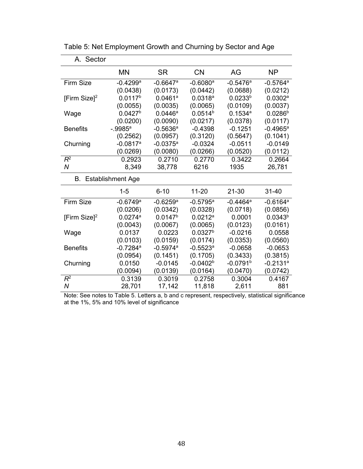| A. Sector                   |                        |                        |                        |                        |                        |
|-----------------------------|------------------------|------------------------|------------------------|------------------------|------------------------|
|                             | <b>MN</b>              | <b>SR</b>              | <b>CN</b>              | AG                     | <b>NP</b>              |
| <b>Firm Size</b>            | $-0.4299$ <sup>a</sup> | $-0.6647$ <sup>a</sup> | $-0.6080$ <sup>a</sup> | $-0.5476a$             | $-0.5764$ <sup>a</sup> |
|                             | (0.0438)               | (0.0173)               | (0.0442)               | (0.0688)               | (0.0212)               |
| [Firm Size] <sup>2</sup>    | 0.0117 <sup>b</sup>    | $0.0461$ <sup>a</sup>  | 0.0318a                | 0.0233 <sup>b</sup>    | 0.0302a                |
|                             | (0.0055)               | (0.0035)               | (0.0065)               | (0.0109)               | (0.0037)               |
| Wage                        | 0.0427 <sup>b</sup>    | $0.0446^{\text{a}}$    | $0.0514^{b}$           | 0.1534a                | $0.0286^{b}$           |
|                             | (0.0200)               | (0.0090)               | (0.0217)               | (0.0378)               | (0.0117)               |
| <b>Benefits</b>             | $-0.9985$ <sup>a</sup> | $-0.5636$ <sup>a</sup> | $-0.4398$              | $-0.1251$              | $-0.4965^{\circ}$      |
|                             | (0.2562)               | (0.0957)               | (0.3120)               | (0.5647)               | (0.1041)               |
| Churning                    | $-0.0817$ <sup>a</sup> | $-0.0375^a$            | $-0.0324$              | $-0.0511$              | $-0.0149$              |
|                             | (0.0269)               | (0.0080)               | (0.0266)               | (0.0520)               | (0.0112)               |
| $R^2$                       | 0.2923                 | 0.2710                 | 0.2770                 | 0.3422                 | 0.2664                 |
| $\overline{N}$              | 8,349                  | 38,778                 | 6216                   | 1935                   | 26,781                 |
| <b>B.</b> Establishment Age |                        |                        |                        |                        |                        |
|                             | $1 - 5$                | $6 - 10$               | $11-20$                | $21 - 30$              | 31-40                  |
| <b>Firm Size</b>            | $-0.6749$ <sup>a</sup> | $-0.6259$ <sup>a</sup> | $-0.5795^{\circ}$      | $-0.4464^a$            | $-0.6164$ <sup>a</sup> |
|                             | (0.0206)               | (0.0342)               | (0.0328)               | (0.0718)               | (0.0856)               |
| [Firm Size] <sup>2</sup>    | 0.0274a                | 0.0147 <sup>b</sup>    | 0.0212a                | 0.0001                 | $0.0343^{b}$           |
|                             | (0.0043)               | (0.0067)               | (0.0065)               | (0.0123)               | (0.0161)               |
| Wage                        | 0.0137                 | 0.0223                 | 0.0327 <sup>b</sup>    | $-0.0216$              | 0.0558                 |
|                             | (0.0103)               | (0.0159)               | (0.0174)               | (0.0353)               | (0.0560)               |
| <b>Benefits</b>             | $-0.7284$ <sup>a</sup> | $-0.5974$ <sup>a</sup> | $-0.5523$ <sup>a</sup> | $-0.0658$              | $-0.0653$              |
|                             | (0.0954)               | (0.1451)               | (0.1705)               | (0.3433)               | (0.3815)               |
| Churning                    | 0.0150                 | $-0.0145$              | $-0.0402b$             | $-0.0791$ <sup>b</sup> | $-0.2131$ <sup>a</sup> |
|                             | (0.0094)               | (0.0139)               | (0.0164)               | (0.0470)               | (0.0742)               |
| $R^2$                       | 0.3139                 | 0.3019                 | 0.2758                 | 0.3004                 | 0.4167                 |
| N                           | 28,701                 | 17,142                 | 11,818                 | 2,611                  | 881                    |

Table 5: Net Employment Growth and Churning by Sector and Age

Note: See notes to Table 5. Letters a, b and c represent, respectively, statistical significance at the 1%, 5% and 10% level of significance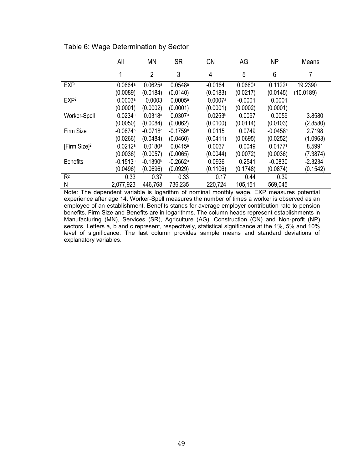|                          | All        | <b>MN</b>      | <b>SR</b>  | <b>CN</b>           | AG        | <b>NP</b>  | Means     |
|--------------------------|------------|----------------|------------|---------------------|-----------|------------|-----------|
|                          | 1          | $\overline{2}$ | 3          | 4                   | 5         | 6          |           |
| <b>EXP</b>               | 0.0664a    | 0.0625a        | 0.0548a    | $-0.0164$           | 0.0660a   | 0.1122a    | 19.2390   |
|                          | (0.0089)   | (0.0184)       | (0.0140)   | (0.0183)            | (0.0217)  | (0.0145)   | (10.0189) |
| EXP <sub>2</sub>         | 0.0003a    | 0.0003         | 0.0005a    | 0.0007a             | $-0.0001$ | 0.0001     |           |
|                          | (0.0001)   | (0.0002)       | (0.0001)   | (0.0001)            | (0.0002)  | (0.0001)   |           |
| Worker-Spell             | 0.0234a    | 0.0318a        | 0.0307a    | 0.0253 <sup>b</sup> | 0.0097    | 0.0059     | 3.8580    |
|                          | (0.0050)   | (0.0084)       | (0.0062)   | (0.0100)            | (0.0114)  | (0.0103)   | (2.8580)  |
| Firm Size                | $-0.0674b$ | $-0.0718c$     | $-0.1759a$ | 0.0115              | 0.0749    | $-0.0458c$ | 2.7198    |
|                          | (0.0266)   | (0.0484)       | (0.0460)   | (0.0411)            | (0.0695)  | (0.0252)   | (1.0963)  |
| [Firm Size] <sup>2</sup> | 0.0212a    | 0.0180a        | 0.0415a    | 0.0037              | 0.0049    | 0.0177a    | 8.5991    |
|                          | (0.0036)   | (0.0057)       | (0.0065)   | (0.0044)            | (0.0072)  | (0.0036)   | (7.3874)  |
| <b>Benefits</b>          | $-0.1513a$ | $-0.1390b$     | $-0.2662a$ | 0.0936              | 0.2541    | $-0.0830$  | $-2.3234$ |
|                          | (0.0496)   | (0.0696)       | (0.0929)   | (0.1106)            | (0.1748)  | (0.0874)   | (0.1542)  |
| R <sup>2</sup>           | 0.33       | 0.37           | 0.33       | 0.17                | 0.44      | 0.39       |           |
| N                        | 2,077,923  | 446,768        | 736,235    | 220,724             | 105,151   | 569,045    |           |

Table 6: Wage Determination by Sector

Note: The dependent variable is logarithm of nominal monthly wage. EXP measures potential experience after age 14. Worker-Spell measures the number of times a worker is observed as an employee of an establishment. Benefits stands for average employer contribution rate to pension benefits. Firm Size and Benefits are in logarithms. The column heads represent establishments in Manufacturing (MN), Services (SR), Agriculture (AG), Construction (CN) and Non-profit (NP) sectors. Letters a, b and c represent, respectively, statistical significance at the 1%, 5% and 10% level of significance. The last column provides sample means and standard deviations of explanatory variables.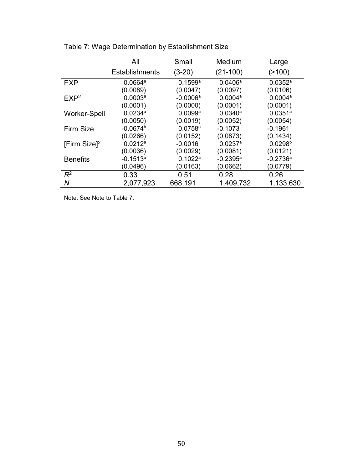|                     | All                   | Small                 | Medium                | Large                 |
|---------------------|-----------------------|-----------------------|-----------------------|-----------------------|
|                     | <b>Establishments</b> | (3-20)                | $(21-100)$            | (>100)                |
| <b>EXP</b>          | 0.0664a               | 0.1599a               | $0.0406^{\circ}$      | 0.0352a               |
|                     | (0.0089)              | (0.0047)              | (0.0097)              | (0.0106)              |
| EXP <sup>2</sup>    | 0.0003 <sup>a</sup>   | $-0.0006a$            | 0.0004a               | 0.0004a               |
|                     | (0.0001)              | (0.0000)              | (0.0001)              | (0.0001)              |
| <b>Worker-Spell</b> | $0.0234$ <sup>a</sup> | $0.0099$ <sup>a</sup> | $0.0340^a$            | $0.0351$ <sup>a</sup> |
|                     | (0.0050)              | (0.0019)              | (0.0052)              | (0.0054)              |
| Firm Size           | $-0.0674b$            | $0.0758$ <sup>a</sup> | $-0.1073$             | $-0.1961$             |
|                     | (0.0266)              | (0.0152)              | (0.0873)              | (0.1434)              |
| [Firm Size] $2$     | $0.0212^a$            | $-0.0016$             | $0.0237$ <sup>a</sup> | 0.0298 <sup>b</sup>   |
|                     | (0.0036)              | (0.0029)              | (0.0081)              | (0.0121)              |
| <b>Benefits</b>     | $-0.1513a$            | 0.1022a               | $-0.2395^{\circ}$     | $-0.2736a$            |
|                     | (0.0496)              | (0.0163)              | (0.0662)              | (0.0779)              |
| $R^2$               | 0.33                  | 0.51                  | 0.28                  | 0.26                  |
| Ν                   | 2,077,923             | 668,191               | 1,409,732             | 1,133,630             |

Table 7: Wage Determination by Establishment Size

Note: See Note to Table 7.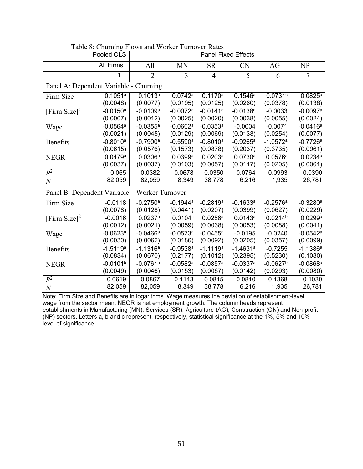| Table 6. Churning Flows and Worker Turnover Kates<br>Pooled OLS<br><b>Panel Fixed Effects</b> |                        |                        |                        |                        |                        |                        |                        |
|-----------------------------------------------------------------------------------------------|------------------------|------------------------|------------------------|------------------------|------------------------|------------------------|------------------------|
|                                                                                               |                        |                        |                        |                        |                        |                        |                        |
|                                                                                               | <b>All Firms</b>       | All                    | <b>MN</b>              | <b>SR</b>              | <b>CN</b>              | AG                     | NP                     |
|                                                                                               | 1                      | $\overline{2}$         | 3                      | $\overline{4}$         | 5                      | 6                      | $\overline{7}$         |
| Panel A: Dependent Variable - Churning                                                        |                        |                        |                        |                        |                        |                        |                        |
| Firm Size                                                                                     | 0.1051a                | 0.1013a                | 0.0742a                | 0.1170a                | 0.1546a                | 0.0731c                | 0.0825a                |
|                                                                                               | (0.0048)               | (0.0077)               | (0.0195)               | (0.0125)               | (0.0260)               | (0.0378)               | (0.0138)               |
| [Firm Size] <sup>2</sup>                                                                      | $-0.0150$ <sup>a</sup> | $-0.0109$ <sup>a</sup> | $-0.0072$ <sup>a</sup> | $-0.0141$ <sup>a</sup> | $-0.0138$ <sup>a</sup> | $-0.0033$              | $-0.0097$ <sup>a</sup> |
|                                                                                               | (0.0007)               | (0.0012)               | (0.0025)               | (0.0020)               | (0.0038)               | (0.0055)               | (0.0024)               |
| Wage                                                                                          | $-0.0564$ <sup>a</sup> | $-0.0355$ <sup>a</sup> | $-0.0602$ <sup>a</sup> | $-0.0353$ <sup>a</sup> | $-0.0004$              | $-0.0071$              | $-0.0416^a$            |
|                                                                                               | (0.0021)               | (0.0045)               | (0.0129)               | (0.0069)               | (0.0133)               | (0.0254)               | (0.0077)               |
| Benefits                                                                                      | $-0.8010$ <sup>a</sup> | $-0.7900$ <sup>a</sup> | $-0.5590$ <sup>a</sup> | $-0.8010^a$            | $-0.9265^{\text{a}}$   | $-1.0572$ <sup>a</sup> | $-0.7726a$             |
|                                                                                               | (0.0615)               | (0.0576)               | (0.1573)               | (0.0878)               | (0.2037)               | (0.3735)               | (0.0961)               |
| <b>NEGR</b>                                                                                   | 0.0479a                | 0.0306a                | 0.0399a                | 0.0203a                | 0.0730a                | 0.0576a                | 0.0234a                |
|                                                                                               | (0.0037)               | (0.0037)               | (0.0103)               | (0.0057)               | (0.0117)               | (0.0205)               | (0.0061)               |
| $R^2$                                                                                         | 0.065                  | 0.0382                 | 0.0678                 | 0.0350                 | 0.0764                 | 0.0993                 | 0.0390                 |
| $\boldsymbol{N}$                                                                              | 82,059                 | 82,059                 | 8,349                  | 38,778                 | 6,216                  | 1,935                  | 26,781                 |
| Panel B: Dependent Variable - Worker Turnover                                                 |                        |                        |                        |                        |                        |                        |                        |
| Firm Size                                                                                     | $-0.0118$              | $-0.2750$ <sup>a</sup> | $-0.1944$ <sup>a</sup> | $-0.2819a$             | $-0.1633$ <sup>a</sup> | $-0.2576a$             | $-0.3280$ <sup>a</sup> |
|                                                                                               | (0.0078)               | (0.0128)               | (0.0441)               | (0.0207)               | (0.0399)               | (0.0627)               | (0.0229)               |
| [Firm Size] <sup>2</sup>                                                                      | $-0.0016$              | 0.0237a                | 0.0104c                | $0.0256^{\circ}$       | 0.0143a                | 0.0214 <sup>b</sup>    | $0.0299$ <sup>a</sup>  |
|                                                                                               | (0.0012)               | (0.0021)               | (0.0059)               | (0.0038)               | (0.0053)               | (0.0088)               | (0.0041)               |
| Wage                                                                                          | $-0.0623$ <sup>a</sup> | $-0.0466$ <sup>a</sup> | $-0.0573$ <sup>a</sup> | $-0.0455$ <sup>a</sup> | $-0.0195$              | $-0.0240$              | $-0.0542$ <sup>a</sup> |
|                                                                                               | (0.0030)               | (0.0062)               | (0.0186)               | (0.0092)               | (0.0205)               | (0.0357)               | (0.0099)               |
| <b>Benefits</b>                                                                               | $-1.5119a$             | $-1.1316a$             | $-0.9538a$             | $-1.1119a$             | $-1.4631a$             | $-0.7255$              | $-1.1386a$             |
|                                                                                               | (0.0834)               | (0.0670)               | (0.2177)               | (0.1012)               | (0.2395)               | (0.5230)               | (0.1080)               |
| <b>NEGR</b>                                                                                   | $-0.0101b$             | $-0.0761$ <sup>a</sup> | $-0.0582$ <sup>a</sup> | $-0.0857$ <sup>a</sup> | $-0.0337a$             | $-0.0627b$             | $-0.0868$ <sup>a</sup> |
|                                                                                               | (0.0049)               | (0.0046)               | (0.0153)               | (0.0067)               | (0.0142)               | (0.0293)               | (0.0080)               |
| $R^2$                                                                                         | 0.0619                 | 0.0867                 | 0.1143                 | 0.0815                 | 0.0810                 | 0.1368                 | 0.1030                 |
| $\boldsymbol{N}$                                                                              | 82,059                 | 82,059                 | 8,349                  | 38,778                 | 6,216                  | 1,935                  | 26,781                 |

|  | Table 8: Churning Flows and Worker Turnover Rates |
|--|---------------------------------------------------|
|--|---------------------------------------------------|

Note: Firm Size and Benefits are in logarithms. Wage measures the deviation of establishment-level wage from the sector mean. NEGR is net employment growth. The column heads represent establishments in Manufacturing (MN), Services (SR), Agriculture (AG), Construction (CN) and Non-profit (NP) sectors. Letters a, b and c represent, respectively, statistical significance at the 1%, 5% and 10% level of significance